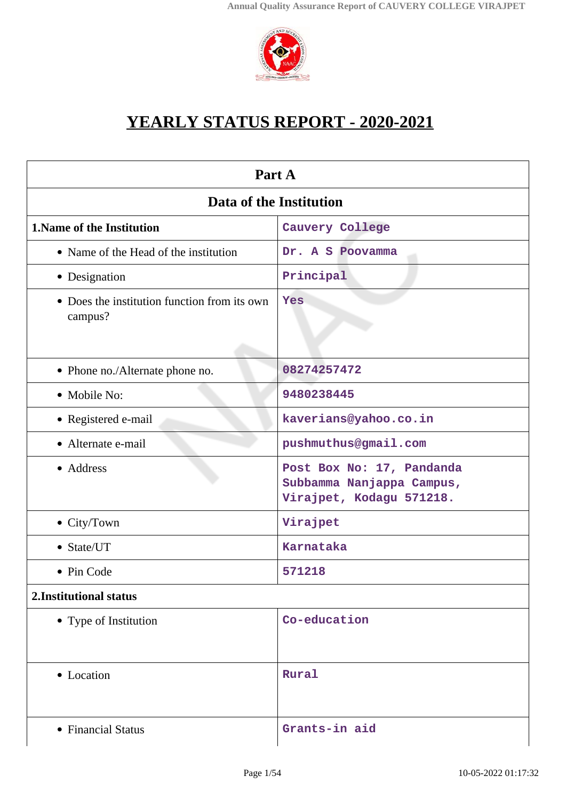

# **YEARLY STATUS REPORT - 2020-2021**

| Part A                                                  |                                                                                    |  |
|---------------------------------------------------------|------------------------------------------------------------------------------------|--|
| Data of the Institution                                 |                                                                                    |  |
| <b>1. Name of the Institution</b>                       | Cauvery College                                                                    |  |
| • Name of the Head of the institution                   | Dr. A S Poovamma                                                                   |  |
| • Designation                                           | Principal                                                                          |  |
| • Does the institution function from its own<br>campus? | Yes                                                                                |  |
| • Phone no./Alternate phone no.                         | 08274257472                                                                        |  |
| • Mobile No:                                            | 9480238445                                                                         |  |
| • Registered e-mail                                     | kaverians@yahoo.co.in                                                              |  |
| • Alternate e-mail                                      | pushmuthus@gmail.com                                                               |  |
| • Address                                               | Post Box No: 17, Pandanda<br>Subbamma Nanjappa Campus,<br>Virajpet, Kodagu 571218. |  |
| • City/Town                                             | Virajpet                                                                           |  |
| • State/UT                                              | <b>Karnataka</b>                                                                   |  |
| • Pin Code                                              | 571218                                                                             |  |
| 2. Institutional status                                 |                                                                                    |  |
| • Type of Institution                                   | Co-education                                                                       |  |
| • Location                                              | Rural                                                                              |  |
| • Financial Status                                      | Grants-in aid                                                                      |  |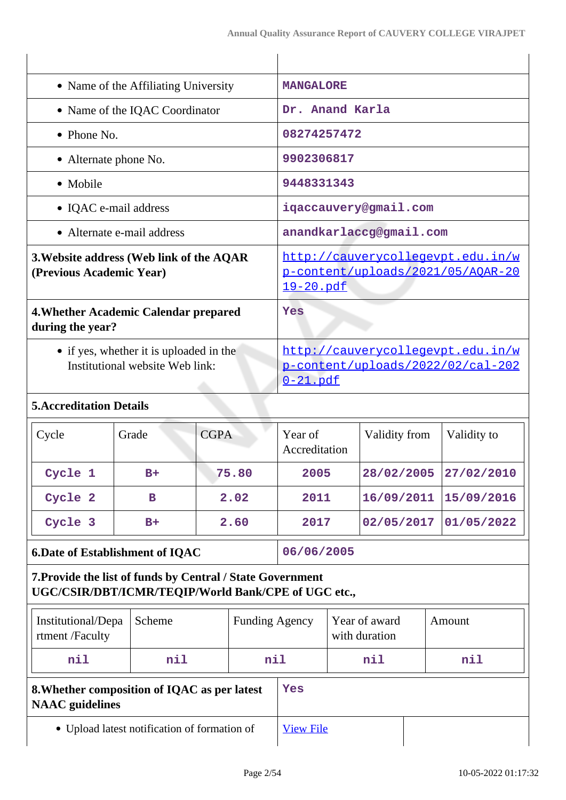| • Name of the Affiliating University                                       | <b>MANGALORE</b>                                                                           |
|----------------------------------------------------------------------------|--------------------------------------------------------------------------------------------|
| • Name of the IQAC Coordinator                                             | Dr. Anand Karla                                                                            |
| $\bullet$ Phone No.                                                        | 08274257472                                                                                |
| • Alternate phone No.                                                      | 9902306817                                                                                 |
| • Mobile                                                                   | 9448331343                                                                                 |
| • IQAC e-mail address                                                      | iqaccauvery@gmail.com                                                                      |
| • Alternate e-mail address                                                 | anandkarlaccg@gmail.com                                                                    |
| 3. Website address (Web link of the AQAR<br>(Previous Academic Year)       | http://cauverycollegevpt.edu.in/w<br>p-content/uploads/2021/05/AQAR-20<br><u>19-20.pdf</u> |
| 4. Whether Academic Calendar prepared<br>during the year?                  | Yes                                                                                        |
| • if yes, whether it is uploaded in the<br>Institutional website Web link: | http://cauverycollegevpt.edu.in/w<br>p-content/uploads/2022/02/cal-202<br>$0-21$ .pdf      |
| <b>5. Accreditation Details</b>                                            |                                                                                            |

# Cycle Grade CGPA Year of Accreditation Validity from  $\vert$  Validity to **Cycle 1 B+ 75.80 2005 28/02/2005 27/02/2010 Cycle 2 B 2.02 2011 16/09/2011 15/09/2016 Cycle 3 B+ 2.60 2017 02/05/2017 01/05/2022**

**6.Date of Establishment of IQAC** 06/06/2005

# **7.Provide the list of funds by Central / State Government UGC/CSIR/DBT/ICMR/TEQIP/World Bank/CPE of UGC etc.,**

| Institutional/Depa<br>rtment /Faculty                                  | Scheme | <b>Funding Agency</b> |  | Year of award<br>with duration | Amount |
|------------------------------------------------------------------------|--------|-----------------------|--|--------------------------------|--------|
| nil                                                                    | nil    | nil                   |  | nil                            | nil    |
| 8. Whether composition of IQAC as per latest<br><b>NAAC</b> guidelines |        | Yes                   |  |                                |        |
| • Upload latest notification of formation of                           |        | <b>View File</b>      |  |                                |        |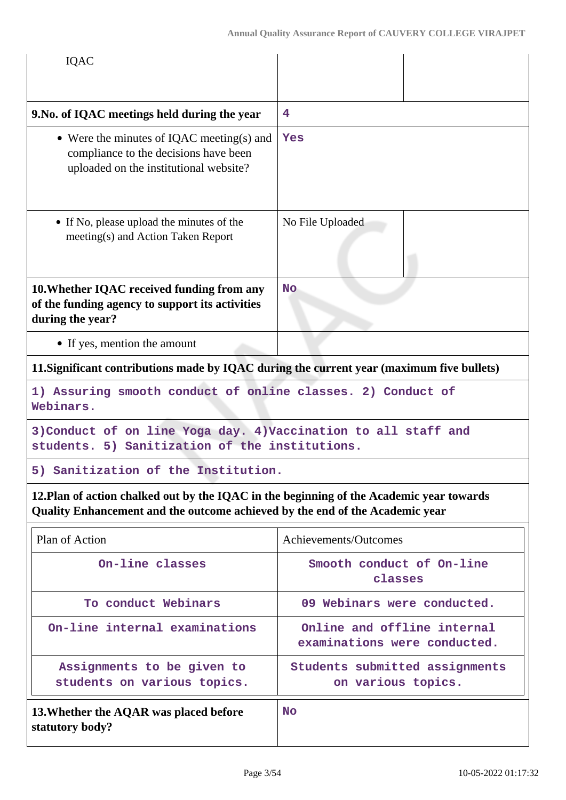| IQAC                                                                                                                                                                     |                                                             |  |
|--------------------------------------------------------------------------------------------------------------------------------------------------------------------------|-------------------------------------------------------------|--|
| 9. No. of IQAC meetings held during the year                                                                                                                             | 4                                                           |  |
| • Were the minutes of IQAC meeting(s) and<br>compliance to the decisions have been<br>uploaded on the institutional website?                                             | Yes                                                         |  |
| • If No, please upload the minutes of the<br>meeting(s) and Action Taken Report                                                                                          | No File Uploaded                                            |  |
| 10. Whether IQAC received funding from any<br>of the funding agency to support its activities<br>during the year?                                                        | <b>No</b>                                                   |  |
| • If yes, mention the amount                                                                                                                                             |                                                             |  |
| 11. Significant contributions made by IQAC during the current year (maximum five bullets)                                                                                |                                                             |  |
| 1) Assuring smooth conduct of online classes. 2) Conduct of<br>Webinars.                                                                                                 |                                                             |  |
| 3) Conduct of on line Yoga day. 4) Vaccination to all staff and<br>students. 5) Sanitization of the institutions.                                                        |                                                             |  |
| 5) Sanitization of the Institution.                                                                                                                                      |                                                             |  |
| 12. Plan of action chalked out by the IQAC in the beginning of the Academic year towards<br>Quality Enhancement and the outcome achieved by the end of the Academic year |                                                             |  |
| Plan of Action                                                                                                                                                           | Achievements/Outcomes                                       |  |
| On-line classes                                                                                                                                                          | Smooth conduct of On-line<br>classes                        |  |
| To conduct Webinars                                                                                                                                                      | 09 Webinars were conducted.                                 |  |
| On-line internal examinations                                                                                                                                            | Online and offline internal<br>examinations were conducted. |  |
| Assignments to be given to<br>students on various topics.                                                                                                                | Students submitted assignments<br>on various topics.        |  |
| 13. Whether the AQAR was placed before<br>statutory body?                                                                                                                | <b>No</b>                                                   |  |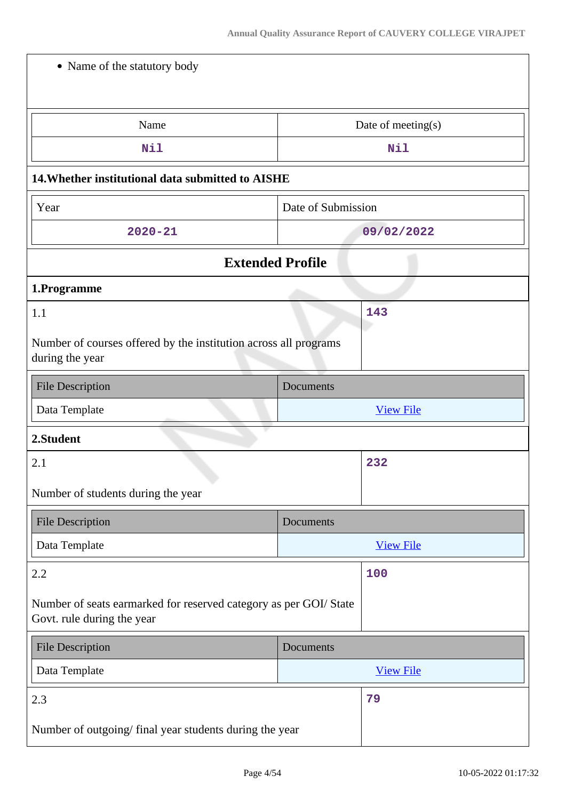| • Name of the statutory body                                                                    |                    |  |  |
|-------------------------------------------------------------------------------------------------|--------------------|--|--|
|                                                                                                 |                    |  |  |
| Name                                                                                            | Date of meeting(s) |  |  |
| Nil                                                                                             | Nil                |  |  |
| 14. Whether institutional data submitted to AISHE                                               |                    |  |  |
| Year                                                                                            | Date of Submission |  |  |
| $2020 - 21$                                                                                     | 09/02/2022         |  |  |
| <b>Extended Profile</b>                                                                         |                    |  |  |
| 1.Programme                                                                                     |                    |  |  |
| 1.1                                                                                             | 143                |  |  |
| Number of courses offered by the institution across all programs<br>during the year             |                    |  |  |
| <b>File Description</b>                                                                         | Documents          |  |  |
| Data Template<br><b>View File</b>                                                               |                    |  |  |
|                                                                                                 |                    |  |  |
| 2.Student                                                                                       |                    |  |  |
| 2.1                                                                                             | 232                |  |  |
| Number of students during the year                                                              |                    |  |  |
| <b>File Description</b>                                                                         | Documents          |  |  |
| Data Template                                                                                   | <b>View File</b>   |  |  |
| 2.2                                                                                             | 100                |  |  |
| Number of seats earmarked for reserved category as per GOI/ State<br>Govt. rule during the year |                    |  |  |
| <b>File Description</b>                                                                         | Documents          |  |  |
| Data Template                                                                                   | <b>View File</b>   |  |  |
| 2.3                                                                                             | 79                 |  |  |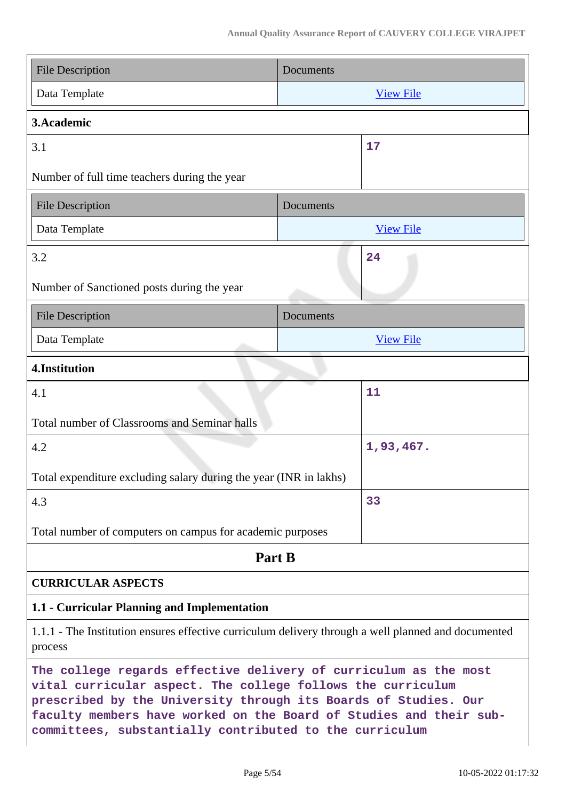| <b>File Description</b>                                                                                                                                                                                                                                                                                                             | Documents        |  |
|-------------------------------------------------------------------------------------------------------------------------------------------------------------------------------------------------------------------------------------------------------------------------------------------------------------------------------------|------------------|--|
| Data Template                                                                                                                                                                                                                                                                                                                       | <b>View File</b> |  |
| 3. Academic                                                                                                                                                                                                                                                                                                                         |                  |  |
| 3.1                                                                                                                                                                                                                                                                                                                                 | 17               |  |
| Number of full time teachers during the year                                                                                                                                                                                                                                                                                        |                  |  |
| <b>File Description</b>                                                                                                                                                                                                                                                                                                             | Documents        |  |
| Data Template                                                                                                                                                                                                                                                                                                                       | <b>View File</b> |  |
| 3.2                                                                                                                                                                                                                                                                                                                                 | 24               |  |
| Number of Sanctioned posts during the year                                                                                                                                                                                                                                                                                          |                  |  |
| <b>File Description</b>                                                                                                                                                                                                                                                                                                             | Documents        |  |
| Data Template                                                                                                                                                                                                                                                                                                                       | <b>View File</b> |  |
| 4.Institution                                                                                                                                                                                                                                                                                                                       |                  |  |
| 4.1                                                                                                                                                                                                                                                                                                                                 | 11               |  |
| Total number of Classrooms and Seminar halls                                                                                                                                                                                                                                                                                        |                  |  |
| 4.2                                                                                                                                                                                                                                                                                                                                 | 1,93,467.        |  |
| Total expenditure excluding salary during the year (INR in lakhs)                                                                                                                                                                                                                                                                   |                  |  |
| 4.3                                                                                                                                                                                                                                                                                                                                 | 33               |  |
| Total number of computers on campus for academic purposes                                                                                                                                                                                                                                                                           |                  |  |
| Part B                                                                                                                                                                                                                                                                                                                              |                  |  |
| <b>CURRICULAR ASPECTS</b>                                                                                                                                                                                                                                                                                                           |                  |  |
| 1.1 - Curricular Planning and Implementation                                                                                                                                                                                                                                                                                        |                  |  |
| 1.1.1 - The Institution ensures effective curriculum delivery through a well planned and documented<br>process                                                                                                                                                                                                                      |                  |  |
| The college regards effective delivery of curriculum as the most<br>vital curricular aspect. The college follows the curriculum<br>prescribed by the University through its Boards of Studies. Our<br>faculty members have worked on the Board of Studies and their sub-<br>committees, substantially contributed to the curriculum |                  |  |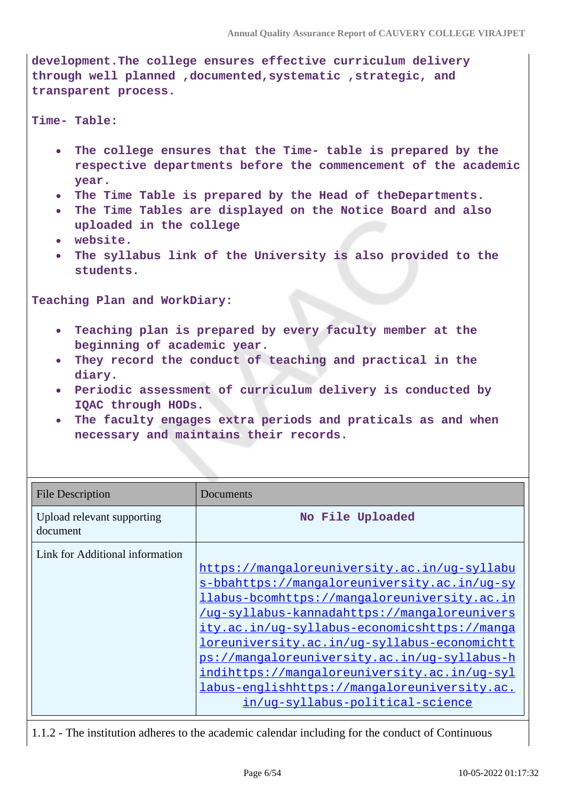**development.The college ensures effective curriculum delivery through well planned ,documented,systematic ,strategic, and transparent process.**

#### **Time- Table:**

- **The college ensures that the Time- table is prepared by the**  $\bullet$ **respective departments before the commencement of the academic year.**
- **The Time Table is prepared by the Head of theDepartments.**
- **The Time Tables are displayed on the Notice Board and also uploaded in the college**
- **website.**
- **The syllabus link of the University is also provided to the students.**

**Teaching Plan and WorkDiary:**

- **Teaching plan is prepared by every faculty member at the beginning of academic year.**
- **They record the conduct of teaching and practical in the diary.**
- **Periodic assessment of curriculum delivery is conducted by IQAC through HODs.**
- **The faculty engages extra periods and praticals as and when necessary and maintains their records.**

| <b>File Description</b>                | Documents                                                                                                                                                                                                                                                                                                                                                                                                                                                                                      |
|----------------------------------------|------------------------------------------------------------------------------------------------------------------------------------------------------------------------------------------------------------------------------------------------------------------------------------------------------------------------------------------------------------------------------------------------------------------------------------------------------------------------------------------------|
| Upload relevant supporting<br>document | No File Uploaded                                                                                                                                                                                                                                                                                                                                                                                                                                                                               |
| Link for Additional information        | https://mangaloreuniversity.ac.in/ug-syllabu<br>s-bbahttps://mangaloreuniversity.ac.in/ug-sy<br><i>llabus-bcomhttps://mangaloreuniversity.ac.in</i><br>/uq-syllabus-kannadahttps://mangaloreunivers<br>ity.ac.in/uq-syllabus-economicshttps://manqa<br><u>loreuniversity.ac.in/ug-syllabus-economichtt</u><br>ps://mangaloreuniversity.ac.in/ug-syllabus-h<br>indihttps://mangaloreuniversity.ac.in/uq-syl<br>labus-englishhttps://mangaloreuniversity.ac.<br>in/uq-syllabus-political-science |

1.1.2 - The institution adheres to the academic calendar including for the conduct of Continuous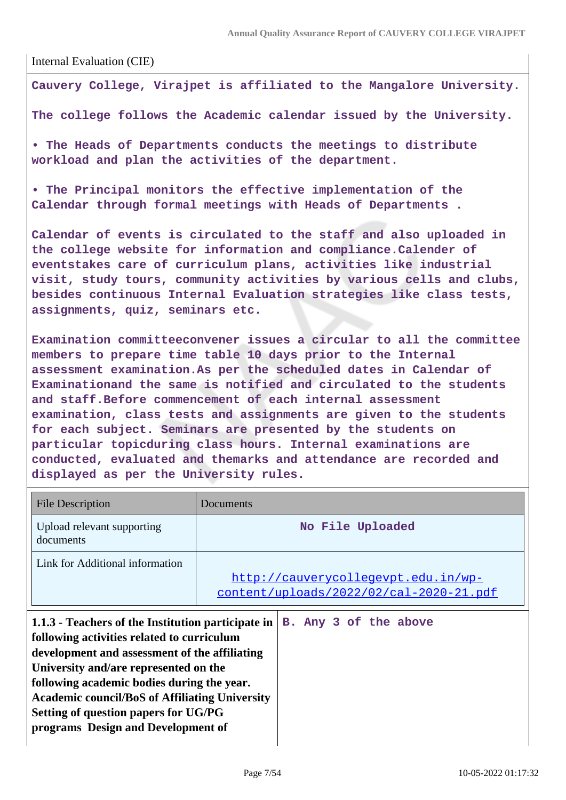Internal Evaluation (CIE)

**Cauvery College, Virajpet is affiliated to the Mangalore University.**

**The college follows the Academic calendar issued by the University.**

**• The Heads of Departments conducts the meetings to distribute workload and plan the activities of the department.**

**• The Principal monitors the effective implementation of the Calendar through formal meetings with Heads of Departments .**

**Calendar of events is circulated to the staff and also uploaded in the college website for information and compliance.Calender of eventstakes care of curriculum plans, activities like industrial visit, study tours, community activities by various cells and clubs, besides continuous Internal Evaluation strategies like class tests, assignments, quiz, seminars etc.**

**Examination committeeconvener issues a circular to all the committee members to prepare time table 10 days prior to the Internal assessment examination.As per the scheduled dates in Calendar of Examinationand the same is notified and circulated to the students and staff.Before commencement of each internal assessment examination, class tests and assignments are given to the students for each subject. Seminars are presented by the students on particular topicduring class hours. Internal examinations are conducted, evaluated and themarks and attendance are recorded and displayed as per the University rules.**

| <b>File Description</b>                                                                                                                                                                                                                                                                                                                                                         | Documents                                                                      |
|---------------------------------------------------------------------------------------------------------------------------------------------------------------------------------------------------------------------------------------------------------------------------------------------------------------------------------------------------------------------------------|--------------------------------------------------------------------------------|
| Upload relevant supporting<br>documents                                                                                                                                                                                                                                                                                                                                         | No File Uploaded                                                               |
| Link for Additional information                                                                                                                                                                                                                                                                                                                                                 | http://cauverycollegevpt.edu.in/wp-<br>content/uploads/2022/02/cal-2020-21.pdf |
| 1.1.3 - Teachers of the Institution participate in<br>following activities related to curriculum<br>development and assessment of the affiliating<br>University and/are represented on the<br>following academic bodies during the year.<br><b>Academic council/BoS of Affiliating University</b><br>Setting of question papers for UG/PG<br>programs Design and Development of | B. Any 3 of the above                                                          |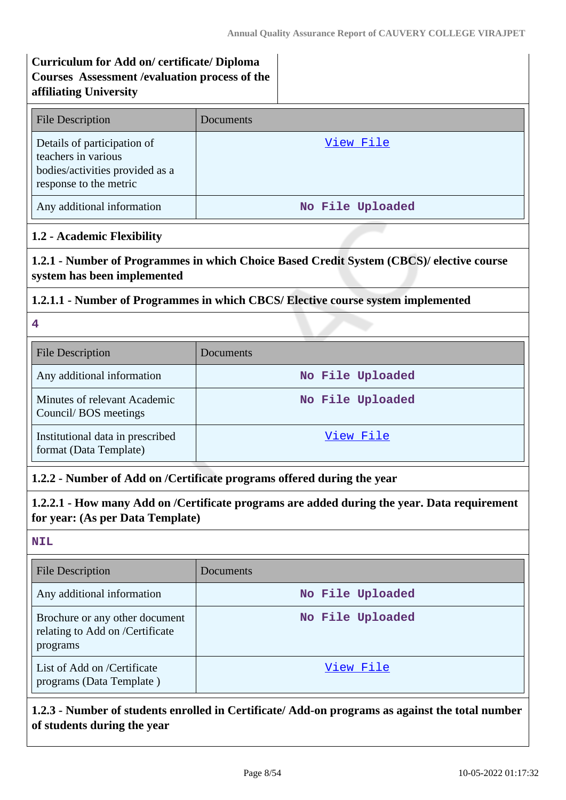# **Curriculum for Add on/ certificate/ Diploma Courses Assessment /evaluation process of the affiliating University**

| <b>File Description</b>                                                                                         | Documents        |
|-----------------------------------------------------------------------------------------------------------------|------------------|
| Details of participation of<br>teachers in various<br>bodies/activities provided as a<br>response to the metric | View File        |
| Any additional information                                                                                      | No File Uploaded |

## **1.2 - Academic Flexibility**

**1.2.1 - Number of Programmes in which Choice Based Credit System (CBCS)/ elective course system has been implemented**

#### **1.2.1.1 - Number of Programmes in which CBCS/ Elective course system implemented**

**4**

| <b>File Description</b>                                    | <b>Documents</b> |
|------------------------------------------------------------|------------------|
| Any additional information                                 | No File Uploaded |
| Minutes of relevant Academic<br>Council/BOS meetings       | No File Uploaded |
| Institutional data in prescribed<br>format (Data Template) | View File        |

## **1.2.2 - Number of Add on /Certificate programs offered during the year**

**1.2.2.1 - How many Add on /Certificate programs are added during the year. Data requirement for year: (As per Data Template)**

#### **NIL**

| <b>File Description</b>                                                       | Documents        |
|-------------------------------------------------------------------------------|------------------|
| Any additional information                                                    | No File Uploaded |
| Brochure or any other document<br>relating to Add on /Certificate<br>programs | No File Uploaded |
| List of Add on /Certificate<br>programs (Data Template)                       | View File        |

# **1.2.3 - Number of students enrolled in Certificate/ Add-on programs as against the total number of students during the year**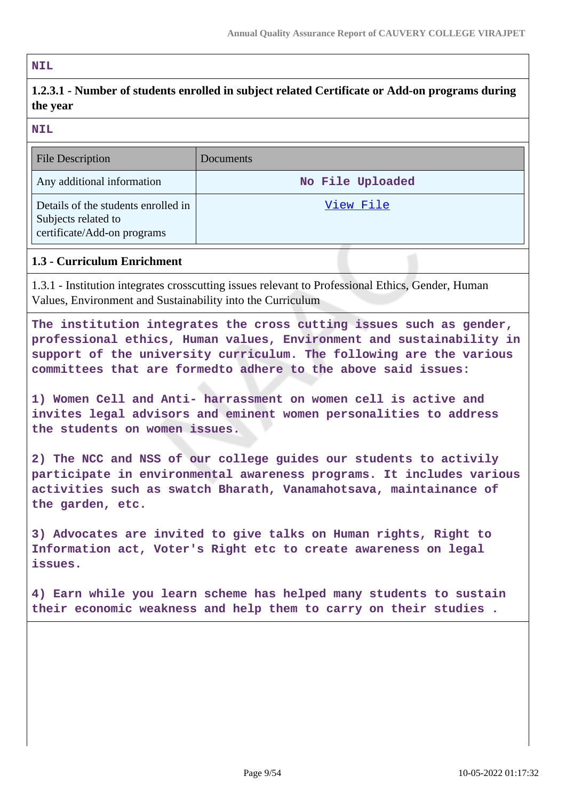#### **NIL**

# **1.2.3.1 - Number of students enrolled in subject related Certificate or Add-on programs during the year**

**NIL**

| <b>File Description</b>                                                                   | <b>Documents</b> |
|-------------------------------------------------------------------------------------------|------------------|
| Any additional information                                                                | No File Uploaded |
| Details of the students enrolled in<br>Subjects related to<br>certificate/Add-on programs | View File        |

#### **1.3 - Curriculum Enrichment**

1.3.1 - Institution integrates crosscutting issues relevant to Professional Ethics, Gender, Human Values, Environment and Sustainability into the Curriculum

**The institution integrates the cross cutting issues such as gender, professional ethics, Human values, Environment and sustainability in support of the university curriculum. The following are the various committees that are formedto adhere to the above said issues:**

**1) Women Cell and Anti- harrassment on women cell is active and invites legal advisors and eminent women personalities to address the students on women issues.**

**2) The NCC and NSS of our college guides our students to activily participate in environmental awareness programs. It includes various activities such as swatch Bharath, Vanamahotsava, maintainance of the garden, etc.**

**3) Advocates are invited to give talks on Human rights, Right to Information act, Voter's Right etc to create awareness on legal issues.**

**4) Earn while you learn scheme has helped many students to sustain their economic weakness and help them to carry on their studies .**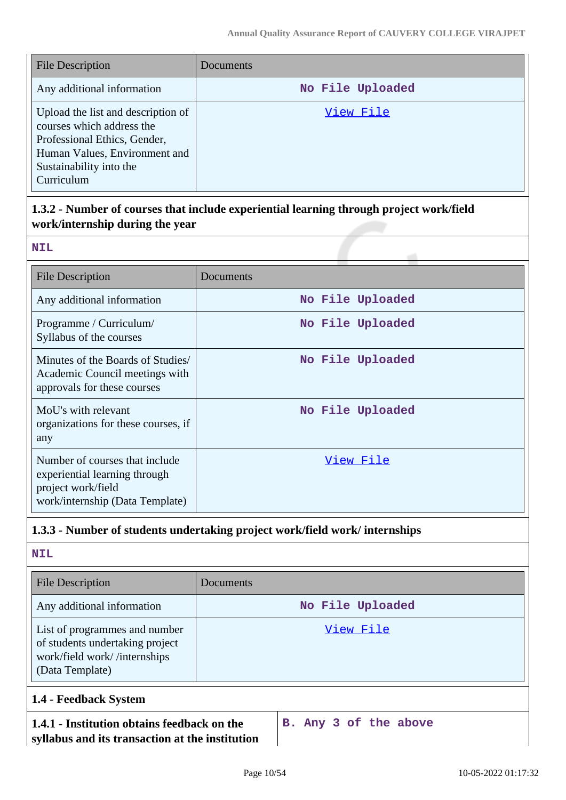| <b>File Description</b>                                                                                                                                                   | Documents        |
|---------------------------------------------------------------------------------------------------------------------------------------------------------------------------|------------------|
| Any additional information                                                                                                                                                | No File Uploaded |
| Upload the list and description of<br>courses which address the<br>Professional Ethics, Gender,<br>Human Values, Environment and<br>Sustainability into the<br>Curriculum | View File        |

# **1.3.2 - Number of courses that include experiential learning through project work/field work/internship during the year**

| $\overline{a}$<br>$\sim$ $\sim$ |  |
|---------------------------------|--|
|                                 |  |
|                                 |  |
|                                 |  |

| <b>File Description</b>                                                                                                  | Documents        |
|--------------------------------------------------------------------------------------------------------------------------|------------------|
| Any additional information                                                                                               | No File Uploaded |
| Programme / Curriculum/<br>Syllabus of the courses                                                                       | No File Uploaded |
| Minutes of the Boards of Studies<br>Academic Council meetings with<br>approvals for these courses                        | No File Uploaded |
| MoU's with relevant<br>organizations for these courses, if<br>any                                                        | No File Uploaded |
| Number of courses that include<br>experiential learning through<br>project work/field<br>work/internship (Data Template) | View File        |

# **1.3.3 - Number of students undertaking project work/field work/ internships**

**NIL**

| <b>File Description</b>                                                                                             | Documents        |
|---------------------------------------------------------------------------------------------------------------------|------------------|
| Any additional information                                                                                          | No File Uploaded |
| List of programmes and number<br>of students undertaking project<br>work/field work//internships<br>(Data Template) | View File        |
| 1.4 - Feedback System                                                                                               |                  |

# **1.4.1 - Institution obtains feedback on the syllabus and its transaction at the institution**

**B. Any 3 of the above**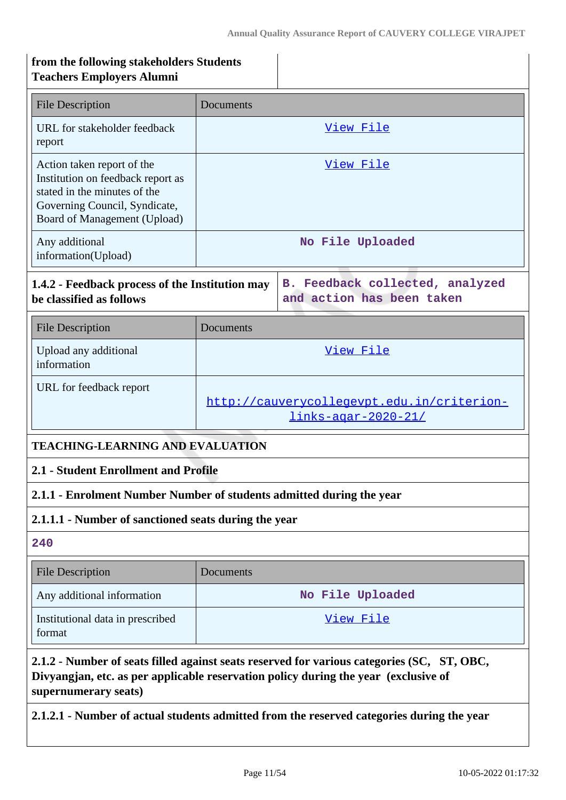| from the following stakeholders Students<br><b>Teachers Employers Alumni</b>                                                                                                                              |                                                                          |                                                              |
|-----------------------------------------------------------------------------------------------------------------------------------------------------------------------------------------------------------|--------------------------------------------------------------------------|--------------------------------------------------------------|
| <b>File Description</b>                                                                                                                                                                                   | Documents                                                                |                                                              |
| URL for stakeholder feedback<br>report                                                                                                                                                                    |                                                                          | View File                                                    |
| Action taken report of the<br>Institution on feedback report as<br>stated in the minutes of the<br>Governing Council, Syndicate,<br>Board of Management (Upload)                                          |                                                                          | View File                                                    |
| Any additional<br>information(Upload)                                                                                                                                                                     |                                                                          | No File Uploaded                                             |
| 1.4.2 - Feedback process of the Institution may<br>be classified as follows                                                                                                                               |                                                                          | B. Feedback collected, analyzed<br>and action has been taken |
| <b>File Description</b>                                                                                                                                                                                   | Documents                                                                |                                                              |
| Upload any additional<br>information                                                                                                                                                                      |                                                                          | View File                                                    |
| URL for feedback report                                                                                                                                                                                   | http://cauverycollegevpt.edu.in/criterion-<br><u>links-agar-2020-21/</u> |                                                              |
| <b>TEACHING-LEARNING AND EVALUATION</b>                                                                                                                                                                   |                                                                          |                                                              |
| 2.1 - Student Enrollment and Profile                                                                                                                                                                      |                                                                          |                                                              |
| 2.1.1 - Enrolment Number Number of students admitted during the year                                                                                                                                      |                                                                          |                                                              |
| 2.1.1.1 - Number of sanctioned seats during the year                                                                                                                                                      |                                                                          |                                                              |
| 240                                                                                                                                                                                                       |                                                                          |                                                              |
| <b>File Description</b>                                                                                                                                                                                   | Documents                                                                |                                                              |
| Any additional information                                                                                                                                                                                |                                                                          | No File Uploaded                                             |
| Institutional data in prescribed<br>format                                                                                                                                                                |                                                                          | <u>View File</u>                                             |
| 2.1.2 - Number of seats filled against seats reserved for various categories (SC, ST, OBC,<br>Divyangjan, etc. as per applicable reservation policy during the year (exclusive of<br>supernumerary seats) |                                                                          |                                                              |

**2.1.2.1 - Number of actual students admitted from the reserved categories during the year**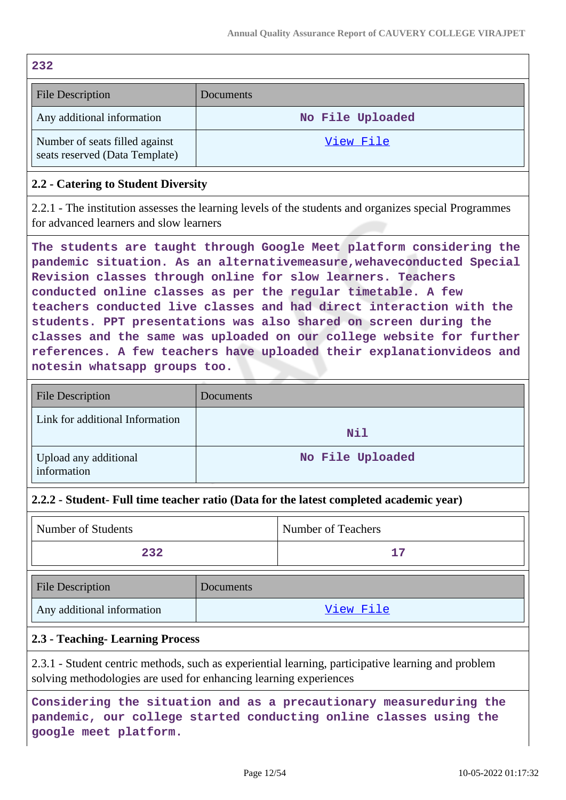| 232                                                              |                  |  |
|------------------------------------------------------------------|------------------|--|
| <b>File Description</b>                                          | Documents        |  |
| Any additional information                                       | No File Uploaded |  |
| Number of seats filled against<br>seats reserved (Data Template) | View File        |  |

## **2.2 - Catering to Student Diversity**

2.2.1 - The institution assesses the learning levels of the students and organizes special Programmes for advanced learners and slow learners

**The students are taught through Google Meet platform considering the pandemic situation. As an alternativemeasure,wehaveconducted Special Revision classes through online for slow learners. Teachers conducted online classes as per the regular timetable. A few teachers conducted live classes and had direct interaction with the students. PPT presentations was also shared on screen during the classes and the same was uploaded on our college website for further references. A few teachers have uploaded their explanationvideos and notesin whatsapp groups too.**

| <b>File Description</b>              | Documents        |
|--------------------------------------|------------------|
| Link for additional Information      | Nil              |
| Upload any additional<br>information | No File Uploaded |

## **2.2.2 - Student- Full time teacher ratio (Data for the latest completed academic year)**

| Number of Students | <b>Number of Teachers</b> |
|--------------------|---------------------------|
| 232                |                           |

| File Description           | Documents |
|----------------------------|-----------|
| Any additional information | View File |

#### **2.3 - Teaching- Learning Process**

2.3.1 - Student centric methods, such as experiential learning, participative learning and problem solving methodologies are used for enhancing learning experiences

**Considering the situation and as a precautionary measureduring the pandemic, our college started conducting online classes using the google meet platform.**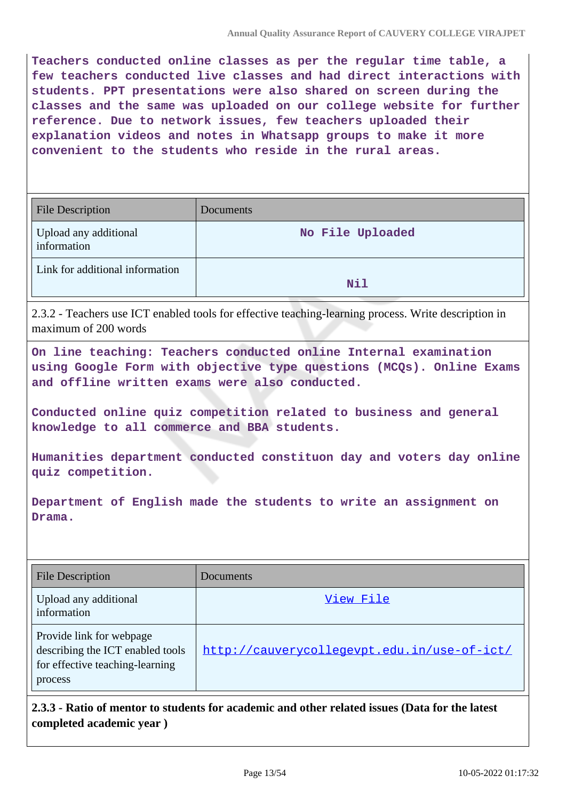**Teachers conducted online classes as per the regular time table, a few teachers conducted live classes and had direct interactions with students. PPT presentations were also shared on screen during the classes and the same was uploaded on our college website for further reference. Due to network issues, few teachers uploaded their explanation videos and notes in Whatsapp groups to make it more convenient to the students who reside in the rural areas.**

| <b>File Description</b>              | Documents        |
|--------------------------------------|------------------|
| Upload any additional<br>information | No File Uploaded |
| Link for additional information      | Nil              |

2.3.2 - Teachers use ICT enabled tools for effective teaching-learning process. Write description in maximum of 200 words

**On line teaching: Teachers conducted online Internal examination using Google Form with objective type questions (MCQs). Online Exams and offline written exams were also conducted.**

**Conducted online quiz competition related to business and general knowledge to all commerce and BBA students.**

**Humanities department conducted constituon day and voters day online quiz competition.**

**Department of English made the students to write an assignment on Drama.**

| <b>File Description</b>                                                                                    | Documents                                   |
|------------------------------------------------------------------------------------------------------------|---------------------------------------------|
| Upload any additional<br>information                                                                       | View File                                   |
| Provide link for webpage<br>describing the ICT enabled tools<br>for effective teaching-learning<br>process | http://cauverycollegevpt.edu.in/use-of-ict/ |

**2.3.3 - Ratio of mentor to students for academic and other related issues (Data for the latest completed academic year )**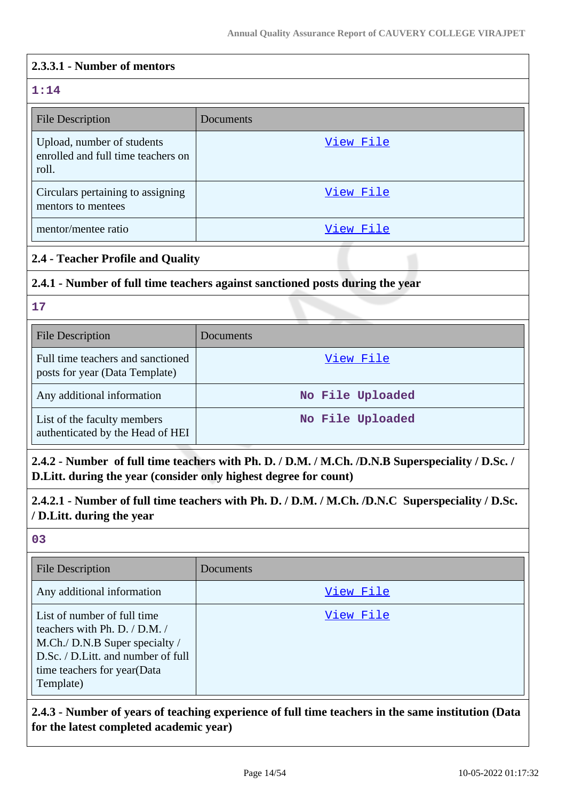| 2.3.3.1 - Number of mentors                                               |                                                                               |
|---------------------------------------------------------------------------|-------------------------------------------------------------------------------|
| 1:14                                                                      |                                                                               |
| <b>File Description</b>                                                   | Documents                                                                     |
| Upload, number of students<br>enrolled and full time teachers on<br>roll. | View File                                                                     |
| Circulars pertaining to assigning<br>mentors to mentees                   | View File                                                                     |
| mentor/mentee ratio                                                       | View File                                                                     |
| 2.4 - Teacher Profile and Quality                                         |                                                                               |
|                                                                           | 2.4.1 - Number of full time teachers against sanctioned posts during the year |
| 17                                                                        |                                                                               |
| <b>File Description</b>                                                   | Documents                                                                     |
| Full time teachers and sanctioned                                         | View File                                                                     |

| 2.4.2 - Number of full time teachers with Ph. D. / D.M. / M.Ch. /D.N.B Superspeciality / D.Sc. / |
|--------------------------------------------------------------------------------------------------|
| D. Litt. during the year (consider only highest degree for count)                                |
| 2.4.2.1 - Number of full time teachers with Ph. D. / D.M. / M.Ch. /D.N.C Superspeciality / D.Sc. |

**No File Uploaded**

Any additional information **No File Uploaded** 

# **/ D.Litt. during the year**

posts for year (Data Template)

List of the faculty members authenticated by the Head of HEI

#### **03**

| <b>File Description</b>                                                                                                                                                          | Documents |
|----------------------------------------------------------------------------------------------------------------------------------------------------------------------------------|-----------|
| Any additional information                                                                                                                                                       | View File |
| List of number of full time<br>teachers with Ph. D. / D.M. /<br>M.Ch./ D.N.B Super specialty /<br>D.Sc. / D.Litt. and number of full<br>time teachers for year(Data<br>Template) | View File |

**2.4.3 - Number of years of teaching experience of full time teachers in the same institution (Data for the latest completed academic year)**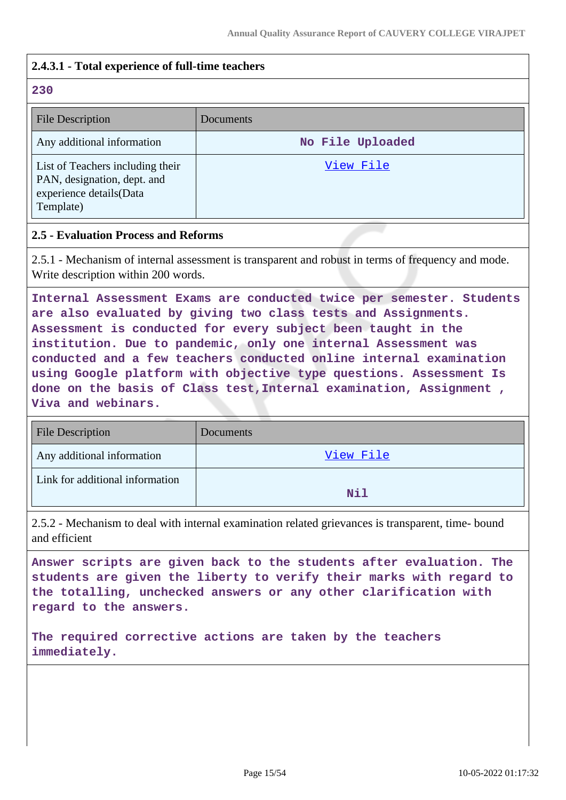## **2.4.3.1 - Total experience of full-time teachers**

#### **230**

| <b>File Description</b>                                                                                 | Documents        |
|---------------------------------------------------------------------------------------------------------|------------------|
| Any additional information                                                                              | No File Uploaded |
| List of Teachers including their<br>PAN, designation, dept. and<br>experience details(Data<br>Template) | View File        |

#### **2.5 - Evaluation Process and Reforms**

2.5.1 - Mechanism of internal assessment is transparent and robust in terms of frequency and mode. Write description within 200 words.

**Internal Assessment Exams are conducted twice per semester. Students are also evaluated by giving two class tests and Assignments. Assessment is conducted for every subject been taught in the institution. Due to pandemic, only one internal Assessment was conducted and a few teachers conducted online internal examination using Google platform with objective type questions. Assessment Is done on the basis of Class test,Internal examination, Assignment , Viva and webinars.**

| <b>File Description</b>         | Documents  |
|---------------------------------|------------|
| Any additional information      | View File  |
| Link for additional information | <b>Nil</b> |

2.5.2 - Mechanism to deal with internal examination related grievances is transparent, time- bound and efficient

**Answer scripts are given back to the students after evaluation. The students are given the liberty to verify their marks with regard to the totalling, unchecked answers or any other clarification with regard to the answers.**

**The required corrective actions are taken by the teachers immediately.**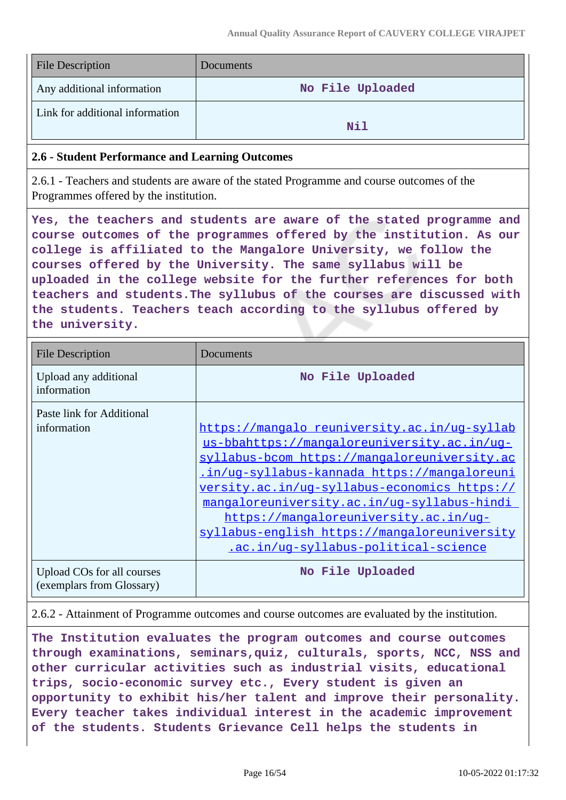| <b>File Description</b>         | <b>Documents</b> |
|---------------------------------|------------------|
| Any additional information      | No File Uploaded |
| Link for additional information | Nil              |

#### **2.6 - Student Performance and Learning Outcomes**

2.6.1 - Teachers and students are aware of the stated Programme and course outcomes of the Programmes offered by the institution.

**Yes, the teachers and students are aware of the stated programme and course outcomes of the programmes offered by the institution. As our college is affiliated to the Mangalore University, we follow the courses offered by the University. The same syllabus will be uploaded in the college website for the further references for both teachers and students.The syllubus of the courses are discussed with the students. Teachers teach according to the syllubus offered by the university.**

| <b>File Description</b>                                 | Documents                                                                                                                                                                                                                                                                                                                                                                                                                  |
|---------------------------------------------------------|----------------------------------------------------------------------------------------------------------------------------------------------------------------------------------------------------------------------------------------------------------------------------------------------------------------------------------------------------------------------------------------------------------------------------|
| Upload any additional<br>information                    | No File Uploaded                                                                                                                                                                                                                                                                                                                                                                                                           |
| Paste link for Additional<br>information                | https://mangalo reuniversity.ac.in/ug-syllab<br>us-bbahttps://mangaloreuniversity.ac.in/ug-<br>syllabus-bcom https://mangaloreuniversity.ac<br>in/uq-syllabus-kannada https://mangaloreuni<br>versity.ac.in/ug-syllabus-economics https://<br>mangaloreuniversity.ac.in/ug-syllabus-hindi<br>https://mangaloreuniversity.ac.in/ug-<br>syllabus-english https://mangaloreuniversity<br>.ac.in/uq-syllabus-political-science |
| Upload COs for all courses<br>(exemplars from Glossary) | No File Uploaded                                                                                                                                                                                                                                                                                                                                                                                                           |

#### 2.6.2 - Attainment of Programme outcomes and course outcomes are evaluated by the institution.

**The Institution evaluates the program outcomes and course outcomes through examinations, seminars,quiz, culturals, sports, NCC, NSS and other curricular activities such as industrial visits, educational trips, socio-economic survey etc., Every student is given an opportunity to exhibit his/her talent and improve their personality. Every teacher takes individual interest in the academic improvement of the students. Students Grievance Cell helps the students in**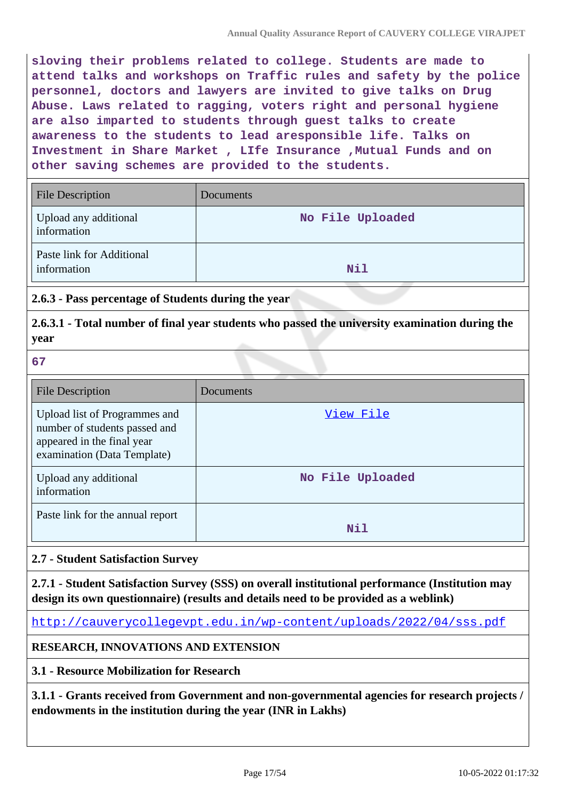**sloving their problems related to college. Students are made to attend talks and workshops on Traffic rules and safety by the police personnel, doctors and lawyers are invited to give talks on Drug Abuse. Laws related to ragging, voters right and personal hygiene are also imparted to students through guest talks to create awareness to the students to lead aresponsible life. Talks on Investment in Share Market , LIfe Insurance ,Mutual Funds and on other saving schemes are provided to the students.**

| <b>File Description</b>                  | Documents        |
|------------------------------------------|------------------|
| Upload any additional<br>information     | No File Uploaded |
| Paste link for Additional<br>information | Nil              |

## **2.6.3 - Pass percentage of Students during the year**

## **2.6.3.1 - Total number of final year students who passed the university examination during the year**

#### **67**

| <b>File Description</b>                                                                                                     | Documents        |
|-----------------------------------------------------------------------------------------------------------------------------|------------------|
| Upload list of Programmes and<br>number of students passed and<br>appeared in the final year<br>examination (Data Template) | <u>View File</u> |
| Upload any additional<br>information                                                                                        | No File Uploaded |
| Paste link for the annual report                                                                                            | Nil              |

## **2.7 - Student Satisfaction Survey**

**2.7.1 - Student Satisfaction Survey (SSS) on overall institutional performance (Institution may design its own questionnaire) (results and details need to be provided as a weblink)**

<http://cauverycollegevpt.edu.in/wp-content/uploads/2022/04/sss.pdf>

## **RESEARCH, INNOVATIONS AND EXTENSION**

## **3.1 - Resource Mobilization for Research**

**3.1.1 - Grants received from Government and non-governmental agencies for research projects / endowments in the institution during the year (INR in Lakhs)**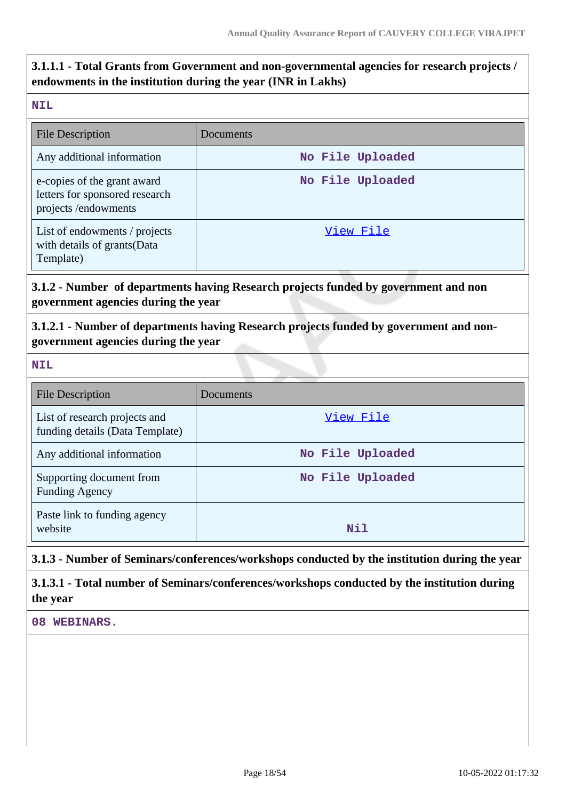# **3.1.1.1 - Total Grants from Government and non-governmental agencies for research projects / endowments in the institution during the year (INR in Lakhs)**

#### **NIL**

| <b>File Description</b>                                                              | Documents        |
|--------------------------------------------------------------------------------------|------------------|
| Any additional information                                                           | No File Uploaded |
| e-copies of the grant award<br>letters for sponsored research<br>projects/endowments | No File Uploaded |
| List of endowments / projects<br>with details of grants (Data<br>Template)           | View File        |

# **3.1.2 - Number of departments having Research projects funded by government and non government agencies during the year**

# **3.1.2.1 - Number of departments having Research projects funded by government and nongovernment agencies during the year**

| <b>File Description</b>                                          | Documents        |
|------------------------------------------------------------------|------------------|
| List of research projects and<br>funding details (Data Template) | View File        |
| Any additional information                                       | No File Uploaded |
| Supporting document from<br><b>Funding Agency</b>                | No File Uploaded |
| Paste link to funding agency<br>website                          | Nil              |

## **3.1.3 - Number of Seminars/conferences/workshops conducted by the institution during the year**

## **3.1.3.1 - Total number of Seminars/conferences/workshops conducted by the institution during the year**

**08 WEBINARS.**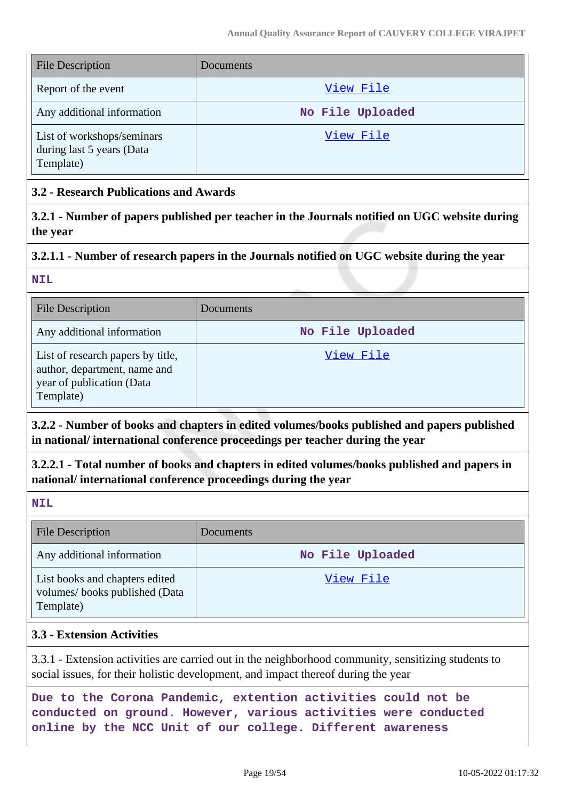| <b>File Description</b>                                              | <b>Documents</b> |
|----------------------------------------------------------------------|------------------|
| Report of the event                                                  | View File        |
| Any additional information                                           | No File Uploaded |
| List of workshops/seminars<br>during last 5 years (Data<br>Template) | View File        |

## **3.2 - Research Publications and Awards**

**3.2.1 - Number of papers published per teacher in the Journals notified on UGC website during the year**

## **3.2.1.1 - Number of research papers in the Journals notified on UGC website during the year**

**NIL**

| <b>File Description</b>                                                                                     | Documents        |
|-------------------------------------------------------------------------------------------------------------|------------------|
| Any additional information                                                                                  | No File Uploaded |
| List of research papers by title,<br>author, department, name and<br>year of publication (Data<br>Template) | View File        |

**3.2.2 - Number of books and chapters in edited volumes/books published and papers published in national/ international conference proceedings per teacher during the year**

**3.2.2.1 - Total number of books and chapters in edited volumes/books published and papers in national/ international conference proceedings during the year**

**NIL**

| <b>File Description</b>                                                      | <b>Documents</b> |
|------------------------------------------------------------------------------|------------------|
| Any additional information                                                   | No File Uploaded |
| List books and chapters edited<br>volumes/books published (Data<br>Template) | View File        |

## **3.3 - Extension Activities**

3.3.1 - Extension activities are carried out in the neighborhood community, sensitizing students to social issues, for their holistic development, and impact thereof during the year

**Due to the Corona Pandemic, extention activities could not be conducted on ground. However, various activities were conducted online by the NCC Unit of our college. Different awareness**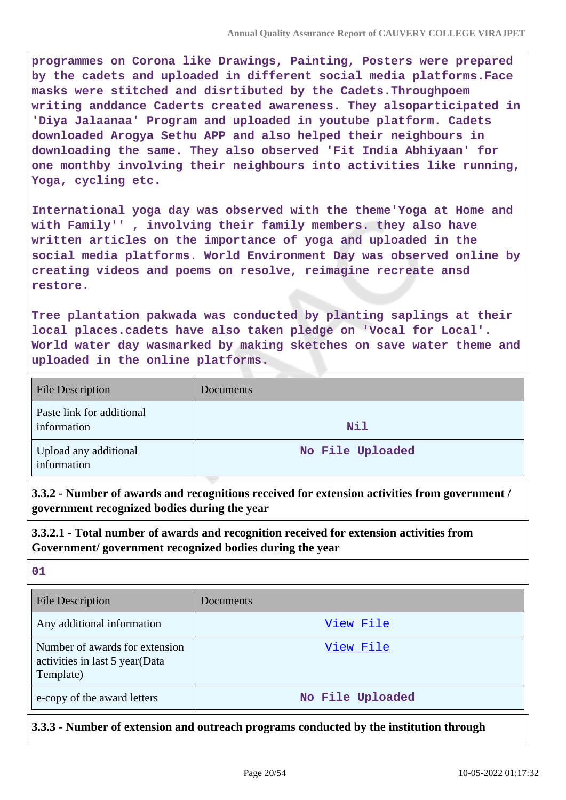**programmes on Corona like Drawings, Painting, Posters were prepared by the cadets and uploaded in different social media platforms.Face masks were stitched and disrtibuted by the Cadets.Throughpoem writing anddance Caderts created awareness. They alsoparticipated in 'Diya Jalaanaa' Program and uploaded in youtube platform. Cadets downloaded Arogya Sethu APP and also helped their neighbours in downloading the same. They also observed 'Fit India Abhiyaan' for one monthby involving their neighbours into activities like running, Yoga, cycling etc.**

**International yoga day was observed with the theme'Yoga at Home and with Family'' , involving their family members. they also have written articles on the importance of yoga and uploaded in the social media platforms. World Environment Day was observed online by creating videos and poems on resolve, reimagine recreate ansd restore.**

**Tree plantation pakwada was conducted by planting saplings at their local places.cadets have also taken pledge on 'Vocal for Local'. World water day wasmarked by making sketches on save water theme and uploaded in the online platforms.**

| <b>File Description</b>                  | Documents        |
|------------------------------------------|------------------|
| Paste link for additional<br>information | Nil              |
| Upload any additional<br>information     | No File Uploaded |

**3.3.2 - Number of awards and recognitions received for extension activities from government / government recognized bodies during the year**

## **3.3.2.1 - Total number of awards and recognition received for extension activities from Government/ government recognized bodies during the year**

**01**

| <b>File Description</b>                                                       | <b>Documents</b> |
|-------------------------------------------------------------------------------|------------------|
| Any additional information                                                    | View File        |
| Number of awards for extension<br>activities in last 5 year(Data<br>Template) | View File        |
| e-copy of the award letters                                                   | No File Uploaded |

**3.3.3 - Number of extension and outreach programs conducted by the institution through**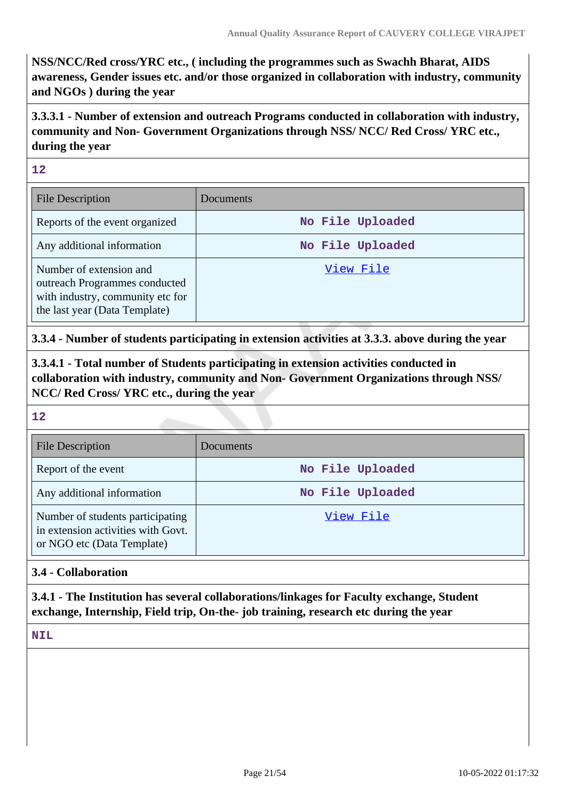**NSS/NCC/Red cross/YRC etc., ( including the programmes such as Swachh Bharat, AIDS awareness, Gender issues etc. and/or those organized in collaboration with industry, community and NGOs ) during the year**

**3.3.3.1 - Number of extension and outreach Programs conducted in collaboration with industry, community and Non- Government Organizations through NSS/ NCC/ Red Cross/ YRC etc., during the year**

**12**

| <b>File Description</b>                                                                                                       | Documents        |
|-------------------------------------------------------------------------------------------------------------------------------|------------------|
| Reports of the event organized                                                                                                | No File Uploaded |
| Any additional information                                                                                                    | No File Uploaded |
| Number of extension and<br>outreach Programmes conducted<br>with industry, community etc for<br>the last year (Data Template) | View File        |

**3.3.4 - Number of students participating in extension activities at 3.3.3. above during the year**

**3.3.4.1 - Total number of Students participating in extension activities conducted in collaboration with industry, community and Non- Government Organizations through NSS/ NCC/ Red Cross/ YRC etc., during the year**

#### **12**

| <b>File Description</b>                                                                              | Documents        |
|------------------------------------------------------------------------------------------------------|------------------|
| Report of the event                                                                                  | No File Uploaded |
| Any additional information                                                                           | No File Uploaded |
| Number of students participating<br>in extension activities with Govt.<br>or NGO etc (Data Template) | View File        |

## **3.4 - Collaboration**

**3.4.1 - The Institution has several collaborations/linkages for Faculty exchange, Student exchange, Internship, Field trip, On-the- job training, research etc during the year**

NT<sub>L</sub>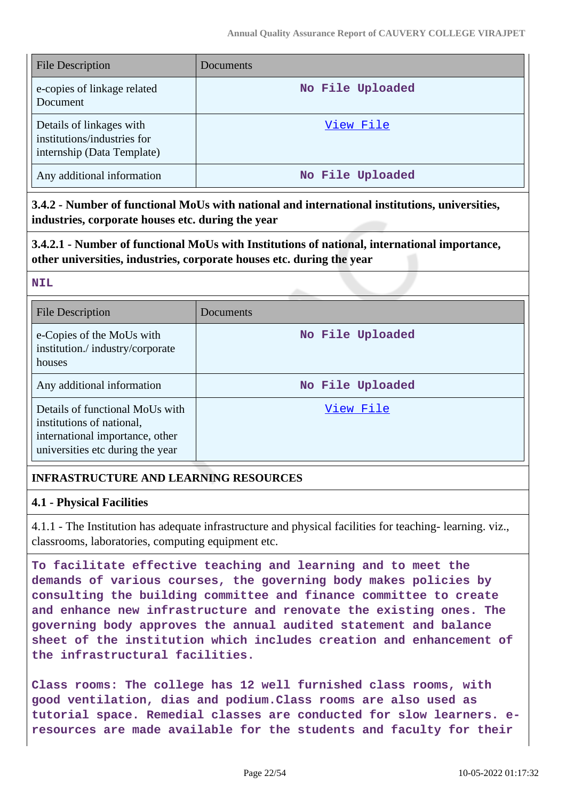| <b>File Description</b>                                                               | Documents        |
|---------------------------------------------------------------------------------------|------------------|
| e-copies of linkage related<br>Document                                               | No File Uploaded |
| Details of linkages with<br>institutions/industries for<br>internship (Data Template) | View File        |
| Any additional information                                                            | No File Uploaded |

**3.4.2 - Number of functional MoUs with national and international institutions, universities, industries, corporate houses etc. during the year**

**3.4.2.1 - Number of functional MoUs with Institutions of national, international importance, other universities, industries, corporate houses etc. during the year**

#### **NIL**

| File Description                                                                                                                    | Documents        |
|-------------------------------------------------------------------------------------------------------------------------------------|------------------|
| e-Copies of the MoUs with<br>institution./industry/corporate<br>houses                                                              | No File Uploaded |
| Any additional information                                                                                                          | No File Uploaded |
| Details of functional MoUs with<br>institutions of national,<br>international importance, other<br>universities etc during the year | View File        |

## **INFRASTRUCTURE AND LEARNING RESOURCES**

## **4.1 - Physical Facilities**

4.1.1 - The Institution has adequate infrastructure and physical facilities for teaching- learning. viz., classrooms, laboratories, computing equipment etc.

**To facilitate effective teaching and learning and to meet the demands of various courses, the governing body makes policies by consulting the building committee and finance committee to create and enhance new infrastructure and renovate the existing ones. The governing body approves the annual audited statement and balance sheet of the institution which includes creation and enhancement of the infrastructural facilities.**

**Class rooms: The college has 12 well furnished class rooms, with good ventilation, dias and podium.Class rooms are also used as tutorial space. Remedial classes are conducted for slow learners. eresources are made available for the students and faculty for their**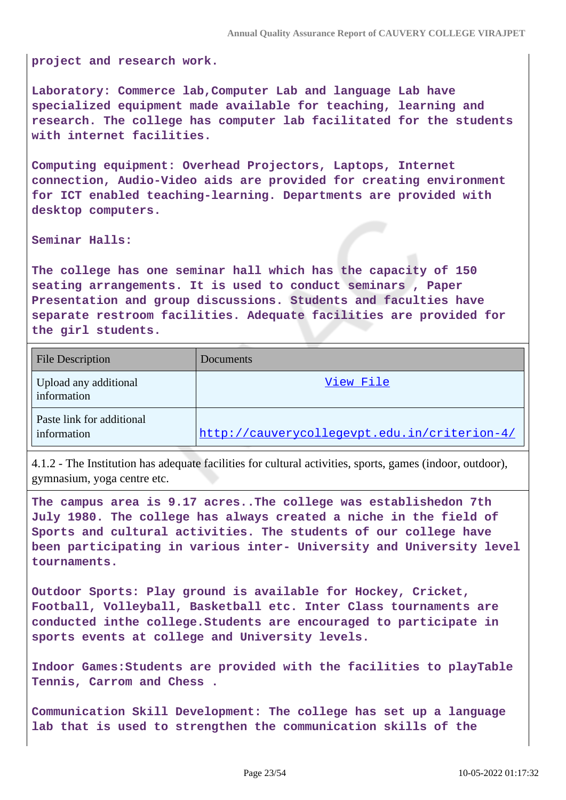**project and research work.**

**Laboratory: Commerce lab,Computer Lab and language Lab have specialized equipment made available for teaching, learning and research. The college has computer lab facilitated for the students with internet facilities.**

**Computing equipment: Overhead Projectors, Laptops, Internet connection, Audio-Video aids are provided for creating environment for ICT enabled teaching-learning. Departments are provided with desktop computers.**

**Seminar Halls:**

**The college has one seminar hall which has the capacity of 150 seating arrangements. It is used to conduct seminars , Paper Presentation and group discussions. Students and faculties have separate restroom facilities. Adequate facilities are provided for the girl students.**

| <b>File Description</b>                  | Documents                                    |
|------------------------------------------|----------------------------------------------|
| Upload any additional<br>information     | View File                                    |
| Paste link for additional<br>information | http://cauverycollegevpt.edu.in/criterion-4/ |

4.1.2 - The Institution has adequate facilities for cultural activities, sports, games (indoor, outdoor), gymnasium, yoga centre etc.

**The campus area is 9.17 acres..The college was establishedon 7th July 1980. The college has always created a niche in the field of Sports and cultural activities. The students of our college have been participating in various inter- University and University level tournaments.**

**Outdoor Sports: Play ground is available for Hockey, Cricket, Football, Volleyball, Basketball etc. Inter Class tournaments are conducted inthe college.Students are encouraged to participate in sports events at college and University levels.**

**Indoor Games:Students are provided with the facilities to playTable Tennis, Carrom and Chess .**

**Communication Skill Development: The college has set up a language lab that is used to strengthen the communication skills of the**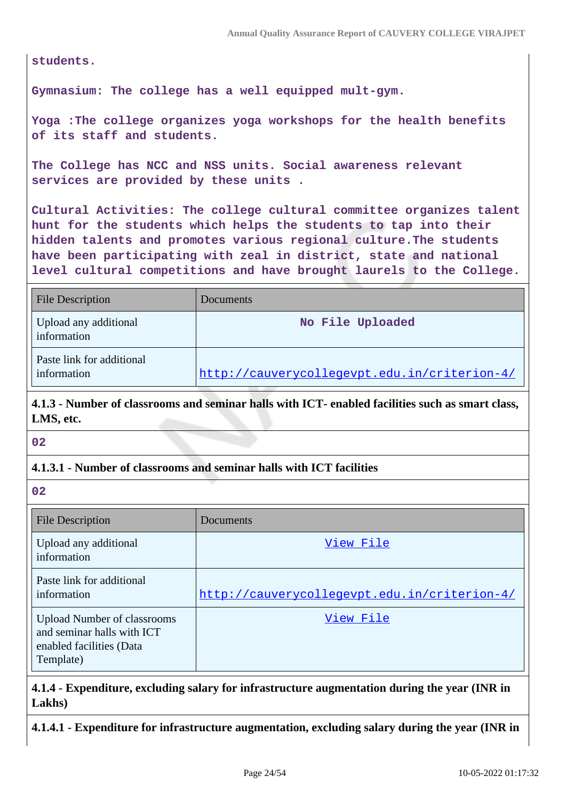**students.**

**Gymnasium: The college has a well equipped mult-gym.**

**Yoga :The college organizes yoga workshops for the health benefits of its staff and students.**

**The College has NCC and NSS units. Social awareness relevant services are provided by these units .**

**Cultural Activities: The college cultural committee organizes talent hunt for the students which helps the students to tap into their hidden talents and promotes various regional culture.The students have been participating with zeal in district, state and national level cultural competitions and have brought laurels to the College.**

| <b>File Description</b>                  | Documents                                    |
|------------------------------------------|----------------------------------------------|
| Upload any additional<br>information     | No File Uploaded                             |
| Paste link for additional<br>information | http://cauverycollegevpt.edu.in/criterion-4/ |

**4.1.3 - Number of classrooms and seminar halls with ICT- enabled facilities such as smart class, LMS, etc.**

**02**

## **4.1.3.1 - Number of classrooms and seminar halls with ICT facilities**

**02**

| File Description                                                                                          | Documents                                    |
|-----------------------------------------------------------------------------------------------------------|----------------------------------------------|
| Upload any additional<br>information                                                                      | View File                                    |
| Paste link for additional<br>information                                                                  | http://cauverycollegevpt.edu.in/criterion-4/ |
| <b>Upload Number of classrooms</b><br>and seminar halls with ICT<br>enabled facilities (Data<br>Template) | View File                                    |

**4.1.4 - Expenditure, excluding salary for infrastructure augmentation during the year (INR in Lakhs)**

**4.1.4.1 - Expenditure for infrastructure augmentation, excluding salary during the year (INR in**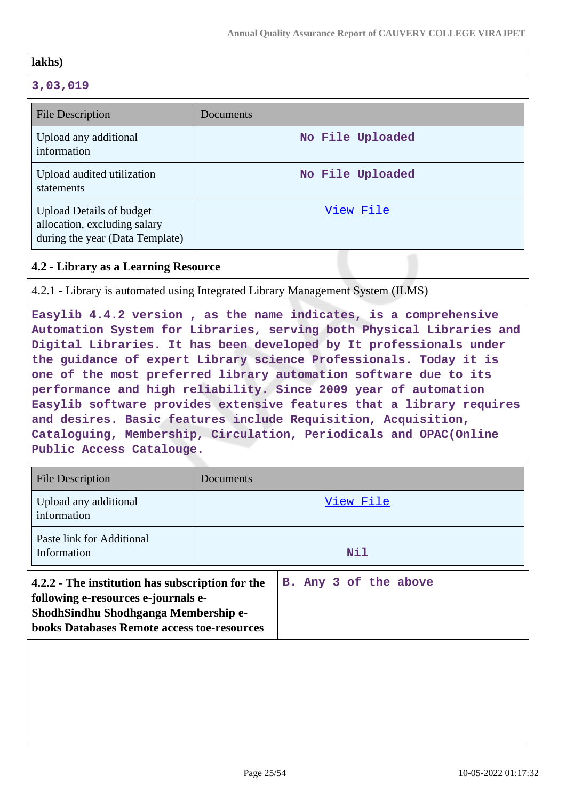| lakhs)                                                                                             |                  |
|----------------------------------------------------------------------------------------------------|------------------|
| 3,03,019                                                                                           |                  |
| File Description                                                                                   | Documents        |
| Upload any additional<br>information                                                               | No File Uploaded |
| Upload audited utilization<br>statements                                                           | No File Uploaded |
| <b>Upload Details of budget</b><br>allocation, excluding salary<br>during the year (Data Template) | View File        |

## **4.2 - Library as a Learning Resource**

4.2.1 - Library is automated using Integrated Library Management System (ILMS)

**Easylib 4.4.2 version , as the name indicates, is a comprehensive Automation System for Libraries, serving both Physical Libraries and Digital Libraries. It has been developed by It professionals under the guidance of expert Library science Professionals. Today it is one of the most preferred library automation software due to its performance and high reliability. Since 2009 year of automation Easylib software provides extensive features that a library requires and desires. Basic features include Requisition, Acquisition, Cataloguing, Membership, Circulation, Periodicals and OPAC(Online Public Access Catalouge.**

| File Description                                                                                                                                                                      | Documents             |
|---------------------------------------------------------------------------------------------------------------------------------------------------------------------------------------|-----------------------|
| Upload any additional<br>information                                                                                                                                                  | View File             |
| Paste link for Additional<br>Information                                                                                                                                              | Nil                   |
| 4.2.2 - The institution has subscription for the<br>following e-resources e-journals e-<br>ShodhSindhu Shodhganga Membership e-<br><b>books Databases Remote access toe-resources</b> | B. Any 3 of the above |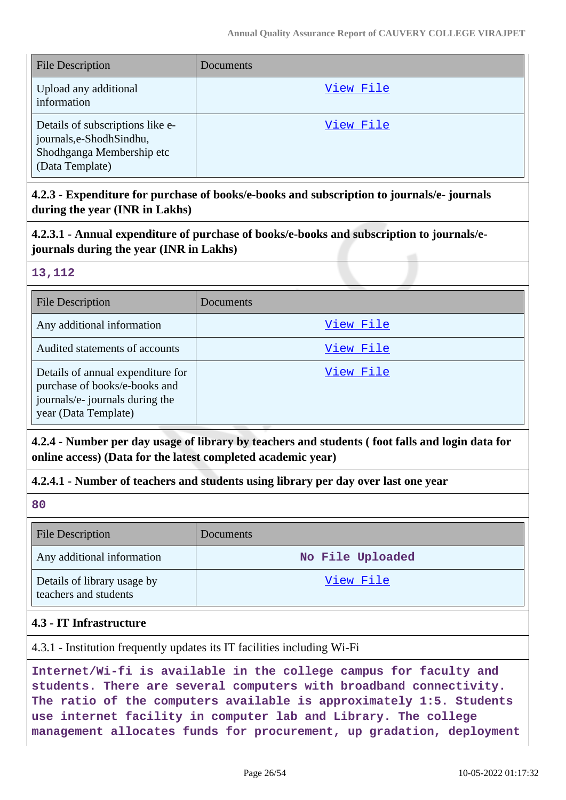| <b>File Description</b>                                                                                       | <b>Documents</b> |
|---------------------------------------------------------------------------------------------------------------|------------------|
| Upload any additional<br>information                                                                          | View File        |
| Details of subscriptions like e-<br>journals, e-Shodh Sindhu,<br>Shodhganga Membership etc<br>(Data Template) | View File        |

**4.2.3 - Expenditure for purchase of books/e-books and subscription to journals/e- journals during the year (INR in Lakhs)**

**4.2.3.1 - Annual expenditure of purchase of books/e-books and subscription to journals/ejournals during the year (INR in Lakhs)**

## **13,112**

| <b>File Description</b>                                                                                                       | Documents |
|-------------------------------------------------------------------------------------------------------------------------------|-----------|
| Any additional information                                                                                                    | View File |
| Audited statements of accounts                                                                                                | View File |
| Details of annual expenditure for<br>purchase of books/e-books and<br>journals/e- journals during the<br>year (Data Template) | View File |

**4.2.4 - Number per day usage of library by teachers and students ( foot falls and login data for online access) (Data for the latest completed academic year)**

# **4.2.4.1 - Number of teachers and students using library per day over last one year**

**80**

| <b>File Description</b>                              | Documents        |
|------------------------------------------------------|------------------|
| Any additional information                           | No File Uploaded |
| Details of library usage by<br>teachers and students | View File        |

## **4.3 - IT Infrastructure**

4.3.1 - Institution frequently updates its IT facilities including Wi-Fi

**Internet/Wi-fi is available in the college campus for faculty and students. There are several computers with broadband connectivity. The ratio of the computers available is approximately 1:5. Students use internet facility in computer lab and Library. The college management allocates funds for procurement, up gradation, deployment**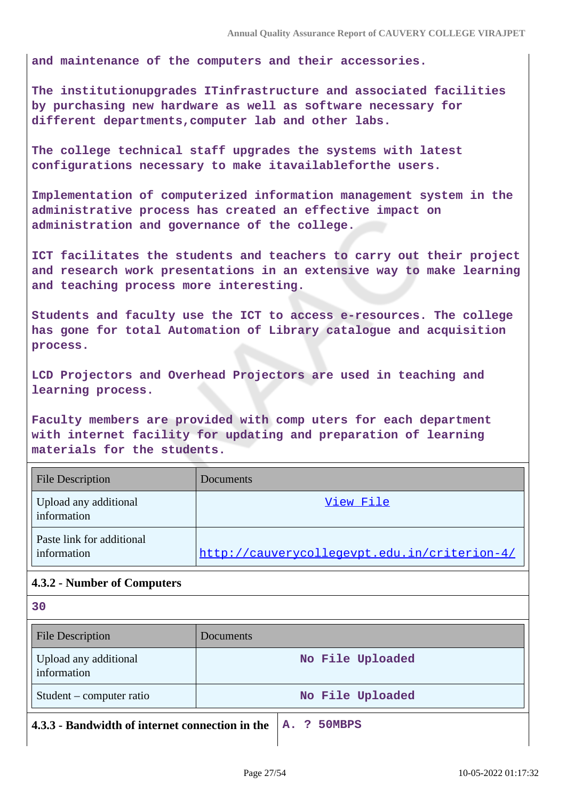**and maintenance of the computers and their accessories.**

**The institutionupgrades ITinfrastructure and associated facilities by purchasing new hardware as well as software necessary for different departments,computer lab and other labs.**

**The college technical staff upgrades the systems with latest configurations necessary to make itavailableforthe users.**

**Implementation of computerized information management system in the administrative process has created an effective impact on administration and governance of the college.**

**ICT facilitates the students and teachers to carry out their project and research work presentations in an extensive way to make learning and teaching process more interesting.**

**Students and faculty use the ICT to access e-resources. The college has gone for total Automation of Library catalogue and acquisition process.**

**LCD Projectors and Overhead Projectors are used in teaching and learning process.**

**Faculty members are provided with comp uters for each department with internet facility for updating and preparation of learning materials for the students.**

| <b>File Description</b>                  | Documents                                    |
|------------------------------------------|----------------------------------------------|
| Upload any additional<br>information     | View File                                    |
| Paste link for additional<br>information | http://cauverycollegevpt.edu.in/criterion-4/ |

# **4.3.2 - Number of Computers**

**30**

| <b>File Description</b>              | <b>Documents</b>                                               |
|--------------------------------------|----------------------------------------------------------------|
| Upload any additional<br>information | No File Uploaded                                               |
| Student – computer ratio             | No File Uploaded                                               |
|                                      | 4.3.3 - Bandwidth of internet connection in the $ A.$ ? 50MBPS |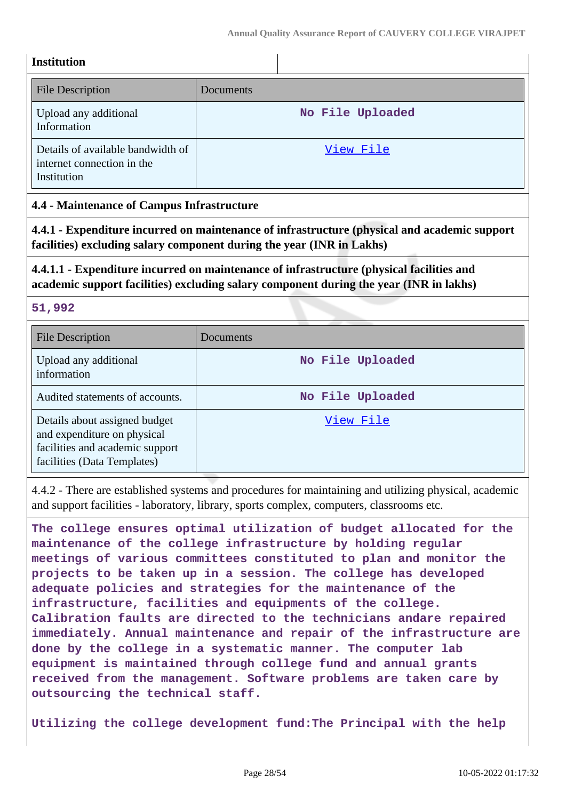| Institution |
|-------------|
|             |

| <b>File Description</b>                                                        | Documents        |
|--------------------------------------------------------------------------------|------------------|
| Upload any additional<br>Information                                           | No File Uploaded |
| Details of available bandwidth of<br>internet connection in the<br>Institution | View File        |

## **4.4 - Maintenance of Campus Infrastructure**

**4.4.1 - Expenditure incurred on maintenance of infrastructure (physical and academic support facilities) excluding salary component during the year (INR in Lakhs)**

# **4.4.1.1 - Expenditure incurred on maintenance of infrastructure (physical facilities and academic support facilities) excluding salary component during the year (INR in lakhs)**

## **51,992**

| <b>File Description</b>                                                                                                        | Documents        |
|--------------------------------------------------------------------------------------------------------------------------------|------------------|
| Upload any additional<br>information                                                                                           | No File Uploaded |
| Audited statements of accounts.                                                                                                | No File Uploaded |
| Details about assigned budget<br>and expenditure on physical<br>facilities and academic support<br>facilities (Data Templates) | View File        |

4.4.2 - There are established systems and procedures for maintaining and utilizing physical, academic and support facilities - laboratory, library, sports complex, computers, classrooms etc.

**The college ensures optimal utilization of budget allocated for the maintenance of the college infrastructure by holding regular meetings of various committees constituted to plan and monitor the projects to be taken up in a session. The college has developed adequate policies and strategies for the maintenance of the infrastructure, facilities and equipments of the college. Calibration faults are directed to the technicians andare repaired immediately. Annual maintenance and repair of the infrastructure are done by the college in a systematic manner. The computer lab equipment is maintained through college fund and annual grants received from the management. Software problems are taken care by outsourcing the technical staff.**

**Utilizing the college development fund:The Principal with the help**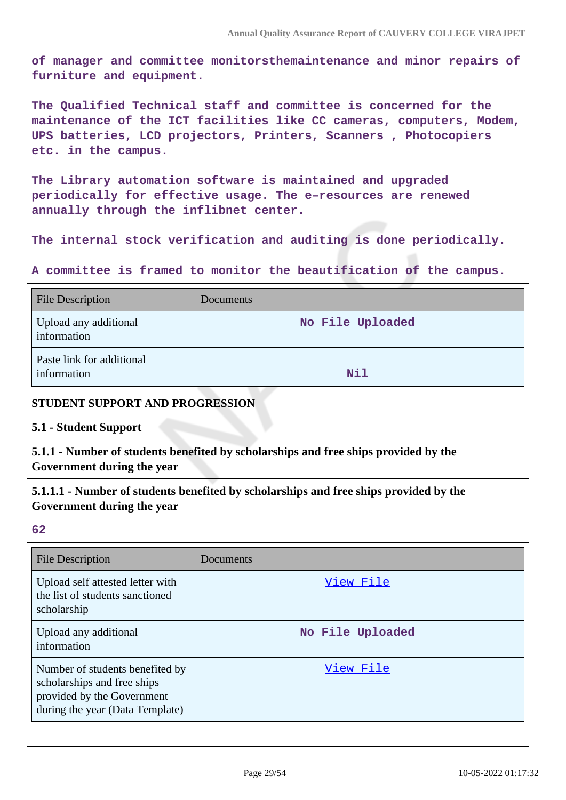**of manager and committee monitorsthemaintenance and minor repairs of furniture and equipment.**

**The Qualified Technical staff and committee is concerned for the maintenance of the ICT facilities like CC cameras, computers, Modem, UPS batteries, LCD projectors, Printers, Scanners , Photocopiers etc. in the campus.**

**The Library automation software is maintained and upgraded periodically for effective usage. The e–resources are renewed annually through the inflibnet center.**

**The internal stock verification and auditing is done periodically.**

**A committee is framed to monitor the beautification of the campus.**

| <b>File Description</b>                  | Documents        |
|------------------------------------------|------------------|
| Upload any additional<br>information     | No File Uploaded |
| Paste link for additional<br>information | Nil              |

## **STUDENT SUPPORT AND PROGRESSION**

**5.1 - Student Support**

**5.1.1 - Number of students benefited by scholarships and free ships provided by the Government during the year**

**5.1.1.1 - Number of students benefited by scholarships and free ships provided by the Government during the year**

**62**

| File Description                                                                                                                | Documents        |
|---------------------------------------------------------------------------------------------------------------------------------|------------------|
| Upload self attested letter with<br>the list of students sanctioned<br>scholarship                                              | View File        |
| Upload any additional<br>information                                                                                            | No File Uploaded |
| Number of students benefited by<br>scholarships and free ships<br>provided by the Government<br>during the year (Data Template) | View File        |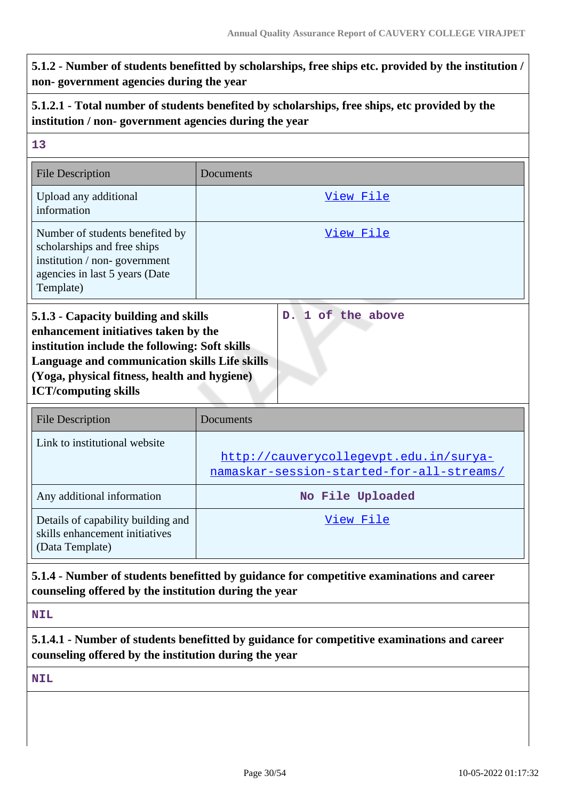# **5.1.2 - Number of students benefitted by scholarships, free ships etc. provided by the institution / non- government agencies during the year**

# **5.1.2.1 - Total number of students benefited by scholarships, free ships, etc provided by the institution / non- government agencies during the year**

| 13                                                                                                                                                                                                                                                             |                                                                                     |
|----------------------------------------------------------------------------------------------------------------------------------------------------------------------------------------------------------------------------------------------------------------|-------------------------------------------------------------------------------------|
| <b>File Description</b>                                                                                                                                                                                                                                        | Documents                                                                           |
| Upload any additional<br>information                                                                                                                                                                                                                           | View File                                                                           |
| Number of students benefited by<br>scholarships and free ships<br>institution / non-government<br>agencies in last 5 years (Date<br>Template)                                                                                                                  | View File                                                                           |
| 5.1.3 - Capacity building and skills<br>enhancement initiatives taken by the<br>institution include the following: Soft skills<br>Language and communication skills Life skills<br>(Yoga, physical fitness, health and hygiene)<br><b>ICT/computing skills</b> | 1 of the above<br>D <sub>1</sub>                                                    |
| <b>File Description</b>                                                                                                                                                                                                                                        | Documents                                                                           |
| Link to institutional website                                                                                                                                                                                                                                  | http://cauverycollegevpt.edu.in/surya-<br>namaskar-session-started-for-all-streams/ |
|                                                                                                                                                                                                                                                                |                                                                                     |
| Any additional information                                                                                                                                                                                                                                     | No File Uploaded                                                                    |
| Details of capability building and<br>skills enhancement initiatives<br>(Data Template)                                                                                                                                                                        | View File                                                                           |

# **counseling offered by the institution during the year**

**NIL**

# **5.1.4.1 - Number of students benefitted by guidance for competitive examinations and career counseling offered by the institution during the year**

**NIL**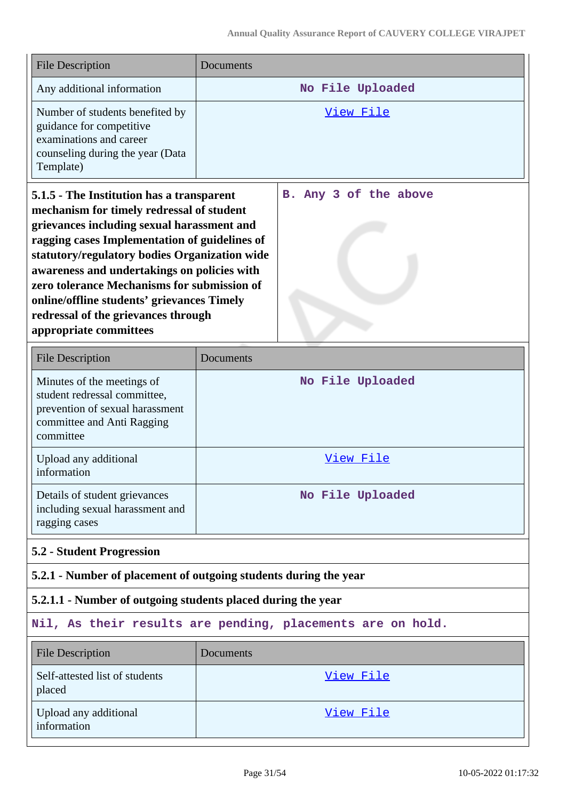| <b>File Description</b>                                                                                                                                                                                                                                                                                                                                                                                                                             | Documents                                                        |  |
|-----------------------------------------------------------------------------------------------------------------------------------------------------------------------------------------------------------------------------------------------------------------------------------------------------------------------------------------------------------------------------------------------------------------------------------------------------|------------------------------------------------------------------|--|
| Any additional information                                                                                                                                                                                                                                                                                                                                                                                                                          | No File Uploaded                                                 |  |
| Number of students benefited by<br>guidance for competitive<br>examinations and career<br>counseling during the year (Data<br>Template)                                                                                                                                                                                                                                                                                                             | View File                                                        |  |
| 5.1.5 - The Institution has a transparent<br>mechanism for timely redressal of student<br>grievances including sexual harassment and<br>ragging cases Implementation of guidelines of<br>statutory/regulatory bodies Organization wide<br>awareness and undertakings on policies with<br>zero tolerance Mechanisms for submission of<br>online/offline students' grievances Timely<br>redressal of the grievances through<br>appropriate committees | B. Any 3 of the above                                            |  |
| <b>File Description</b>                                                                                                                                                                                                                                                                                                                                                                                                                             | Documents                                                        |  |
| Minutes of the meetings of<br>student redressal committee,<br>prevention of sexual harassment<br>committee and Anti Ragging<br>committee                                                                                                                                                                                                                                                                                                            | No File Uploaded                                                 |  |
| Upload any additional<br>information                                                                                                                                                                                                                                                                                                                                                                                                                | View File                                                        |  |
| Details of student grievances<br>including sexual harassment and<br>ragging cases                                                                                                                                                                                                                                                                                                                                                                   | No File Uploaded                                                 |  |
| <b>5.2 - Student Progression</b>                                                                                                                                                                                                                                                                                                                                                                                                                    |                                                                  |  |
|                                                                                                                                                                                                                                                                                                                                                                                                                                                     | 5.2.1 - Number of placement of outgoing students during the year |  |
| 5.2.1.1 - Number of outgoing students placed during the year                                                                                                                                                                                                                                                                                                                                                                                        |                                                                  |  |
| Nil, As their results are pending, placements are on hold.                                                                                                                                                                                                                                                                                                                                                                                          |                                                                  |  |
| <b>File Description</b>                                                                                                                                                                                                                                                                                                                                                                                                                             | Documents                                                        |  |
| Self-attested list of students<br>placed                                                                                                                                                                                                                                                                                                                                                                                                            | <u>View File</u>                                                 |  |
| Upload any additional<br>information                                                                                                                                                                                                                                                                                                                                                                                                                | View File                                                        |  |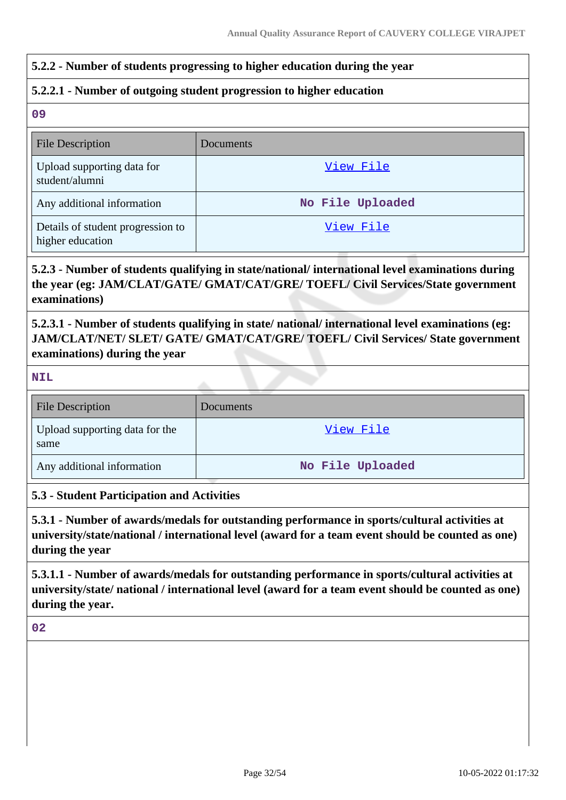## **5.2.2 - Number of students progressing to higher education during the year**

## **5.2.2.1 - Number of outgoing student progression to higher education**

**09**

| <b>File Description</b>                               | <b>Documents</b> |
|-------------------------------------------------------|------------------|
| Upload supporting data for<br>student/alumni          | View File        |
| Any additional information                            | No File Uploaded |
| Details of student progression to<br>higher education | View File        |

# **5.2.3 - Number of students qualifying in state/national/ international level examinations during the year (eg: JAM/CLAT/GATE/ GMAT/CAT/GRE/ TOEFL/ Civil Services/State government examinations)**

**5.2.3.1 - Number of students qualifying in state/ national/ international level examinations (eg: JAM/CLAT/NET/ SLET/ GATE/ GMAT/CAT/GRE/ TOEFL/ Civil Services/ State government examinations) during the year**

**NIL**

| <b>File Description</b>                | Documents        |
|----------------------------------------|------------------|
| Upload supporting data for the<br>same | View File        |
| Any additional information             | No File Uploaded |

## **5.3 - Student Participation and Activities**

**5.3.1 - Number of awards/medals for outstanding performance in sports/cultural activities at university/state/national / international level (award for a team event should be counted as one) during the year**

**5.3.1.1 - Number of awards/medals for outstanding performance in sports/cultural activities at university/state/ national / international level (award for a team event should be counted as one) during the year.**

**02**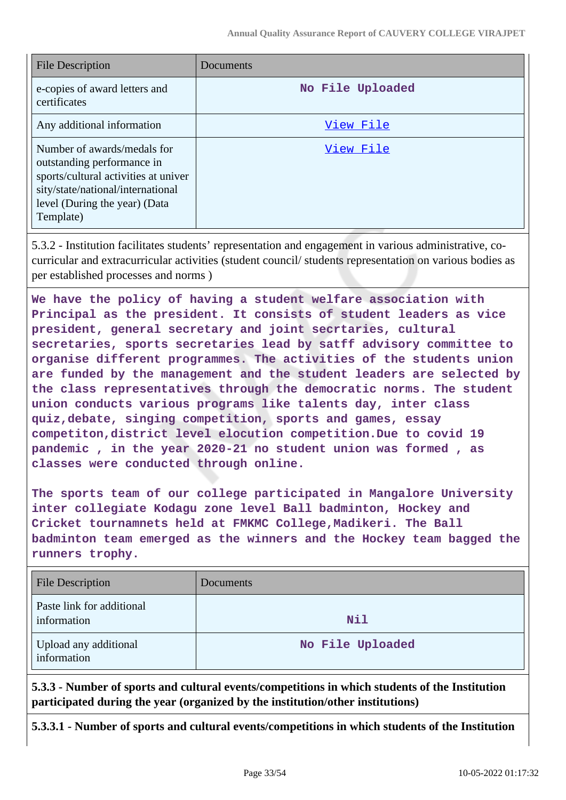| <b>File Description</b>                                                                                                                                                              | Documents        |
|--------------------------------------------------------------------------------------------------------------------------------------------------------------------------------------|------------------|
| e-copies of award letters and<br>certificates                                                                                                                                        | No File Uploaded |
| Any additional information                                                                                                                                                           | View File        |
| Number of awards/medals for<br>outstanding performance in<br>sports/cultural activities at univer<br>sity/state/national/international<br>level (During the year) (Data<br>Template) | View File        |

5.3.2 - Institution facilitates students' representation and engagement in various administrative, cocurricular and extracurricular activities (student council/ students representation on various bodies as per established processes and norms )

**We have the policy of having a student welfare association with Principal as the president. It consists of student leaders as vice president, general secretary and joint secrtaries, cultural secretaries, sports secretaries lead by satff advisory committee to organise different programmes. The activities of the students union are funded by the management and the student leaders are selected by the class representatives through the democratic norms. The student union conducts various programs like talents day, inter class quiz,debate, singing competition, sports and games, essay competiton,district level elocution competition.Due to covid 19 pandemic , in the year 2020-21 no student union was formed , as classes were conducted through online.**

**The sports team of our college participated in Mangalore University inter collegiate Kodagu zone level Ball badminton, Hockey and Cricket tournamnets held at FMKMC College,Madikeri. The Ball badminton team emerged as the winners and the Hockey team bagged the runners trophy.**

| <b>File Description</b>                  | Documents        |
|------------------------------------------|------------------|
| Paste link for additional<br>information | Nil              |
| Upload any additional<br>information     | No File Uploaded |

**5.3.3 - Number of sports and cultural events/competitions in which students of the Institution participated during the year (organized by the institution/other institutions)**

**5.3.3.1 - Number of sports and cultural events/competitions in which students of the Institution**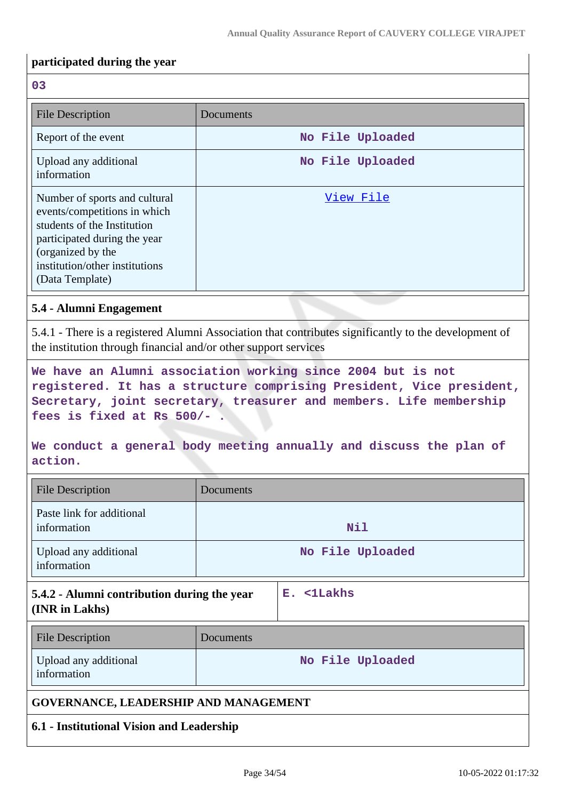#### **participated during the year**

#### **03**

| <b>File Description</b>                                                                                                                                                                                | Documents        |
|--------------------------------------------------------------------------------------------------------------------------------------------------------------------------------------------------------|------------------|
| Report of the event                                                                                                                                                                                    | No File Uploaded |
| Upload any additional<br>information                                                                                                                                                                   | No File Uploaded |
| Number of sports and cultural<br>events/competitions in which<br>students of the Institution<br>participated during the year<br>(organized by the<br>institution/other institutions<br>(Data Template) | View File        |

## **5.4 - Alumni Engagement**

5.4.1 - There is a registered Alumni Association that contributes significantly to the development of the institution through financial and/or other support services

**We have an Alumni association working since 2004 but is not registered. It has a structure comprising President, Vice president, Secretary, joint secretary, treasurer and members. Life membership fees is fixed at Rs 500/- .**

# **We conduct a general body meeting annually and discuss the plan of action.**

| <b>File Description</b>                                       | Documents |                  |
|---------------------------------------------------------------|-----------|------------------|
| Paste link for additional<br>information                      |           | Nil              |
| Upload any additional<br>information                          |           | No File Uploaded |
| 5.4.2 - Alumni contribution during the year<br>(INR in Lakhs) |           | E. <1Lakhs       |
| <b>File Description</b>                                       | Documents |                  |
| Upload any additional<br>information                          |           | No File Uploaded |
| GOVERNANCE, LEADERSHIP AND MANAGEMENT                         |           |                  |
| 6.1 - Institutional Vision and Leadership                     |           |                  |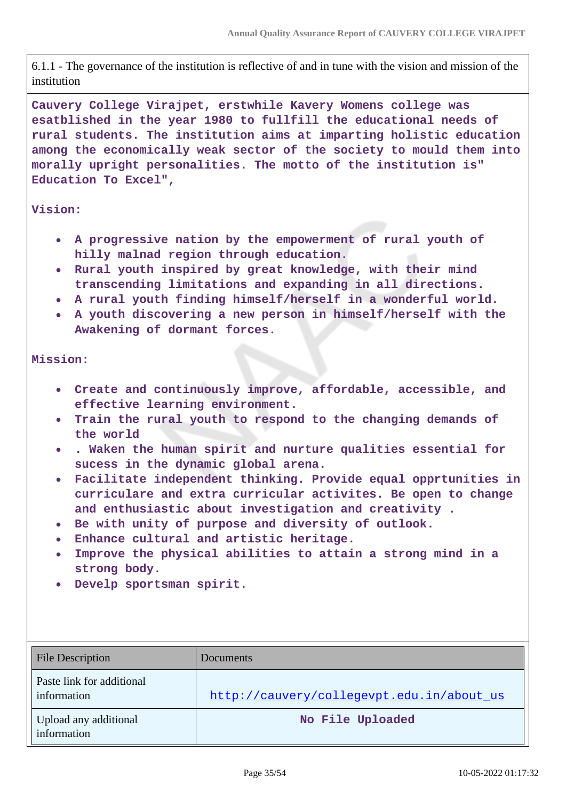6.1.1 - The governance of the institution is reflective of and in tune with the vision and mission of the institution

**Cauvery College Virajpet, erstwhile Kavery Womens college was esatblished in the year 1980 to fullfill the educational needs of rural students. The institution aims at imparting holistic education among the economically weak sector of the society to mould them into morally upright personalities. The motto of the institution is" Education To Excel",**

#### **Vision:**

- **A progressive nation by the empowerment of rural youth of hilly malnad region through education.**
- **Rural youth inspired by great knowledge, with their mind transcending limitations and expanding in all directions.**
- **A rural youth finding himself/herself in a wonderful world.**
- **A youth discovering a new person in himself/herself with the Awakening of dormant forces.**

#### **Mission:**

- **Create and continuously improve, affordable, accessible, and effective learning environment.**
- **Train the rural youth to respond to the changing demands of**  $\bullet$ **the world**
- **. Waken the human spirit and nurture qualities essential for sucess in the dynamic global arena.**
- **Facilitate independent thinking. Provide equal opprtunities in curriculare and extra curricular activites. Be open to change and enthusiastic about investigation and creativity .**
- **Be with unity of purpose and diversity of outlook.**
- **Enhance cultural and artistic heritage.**
- **Improve the physical abilities to attain a strong mind in a strong body.**
- **Develp sportsman spirit.**

| File Description                         | Documents                                 |
|------------------------------------------|-------------------------------------------|
| Paste link for additional<br>information | http://cauvery/collegevpt.edu.in/about us |
| Upload any additional<br>information     | No File Uploaded                          |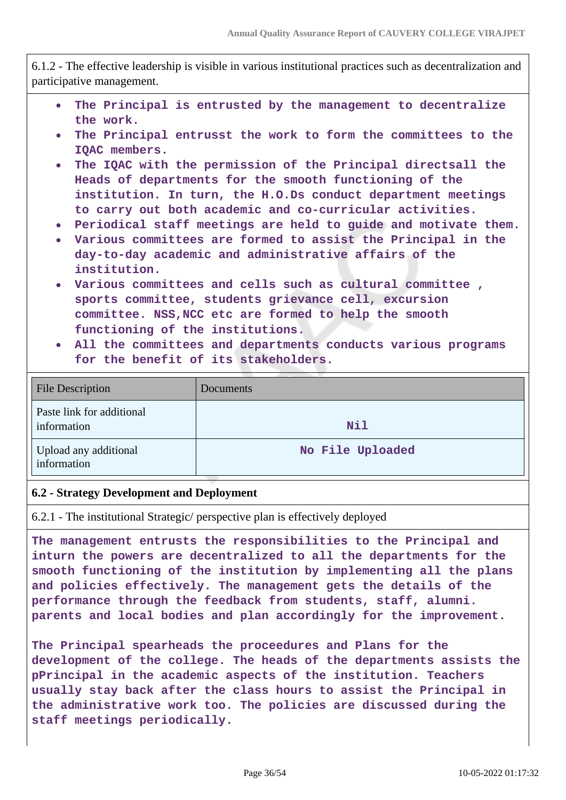6.1.2 - The effective leadership is visible in various institutional practices such as decentralization and participative management.

- **The Principal is entrusted by the management to decentralize**  $\bullet$ **the work.**
- **The Principal entrusst the work to form the committees to the IQAC members.**
- **The IQAC with the permission of the Principal directsall the Heads of departments for the smooth functioning of the institution. In turn, the H.O.Ds conduct department meetings to carry out both academic and co-curricular activities.**
- **Periodical staff meetings are held to guide and motivate them.**
- **Various committees are formed to assist the Principal in the day-to-day academic and administrative affairs of the institution.**
- **Various committees and cells such as cultural committee , sports committee, students grievance cell, excursion committee. NSS,NCC etc are formed to help the smooth functioning of the institutions.**
- **All the committees and departments conducts various programs for the benefit of its stakeholders.**

| <b>File Description</b>                  | Documents        |
|------------------------------------------|------------------|
| Paste link for additional<br>information | Nil              |
| Upload any additional<br>information     | No File Uploaded |

#### **6.2 - Strategy Development and Deployment**

6.2.1 - The institutional Strategic/ perspective plan is effectively deployed

**The management entrusts the responsibilities to the Principal and inturn the powers are decentralized to all the departments for the smooth functioning of the institution by implementing all the plans and policies effectively. The management gets the details of the performance through the feedback from students, staff, alumni. parents and local bodies and plan accordingly for the improvement.**

**The Principal spearheads the proceedures and Plans for the development of the college. The heads of the departments assists the pPrincipal in the academic aspects of the institution. Teachers usually stay back after the class hours to assist the Principal in the administrative work too. The policies are discussed during the staff meetings periodically.**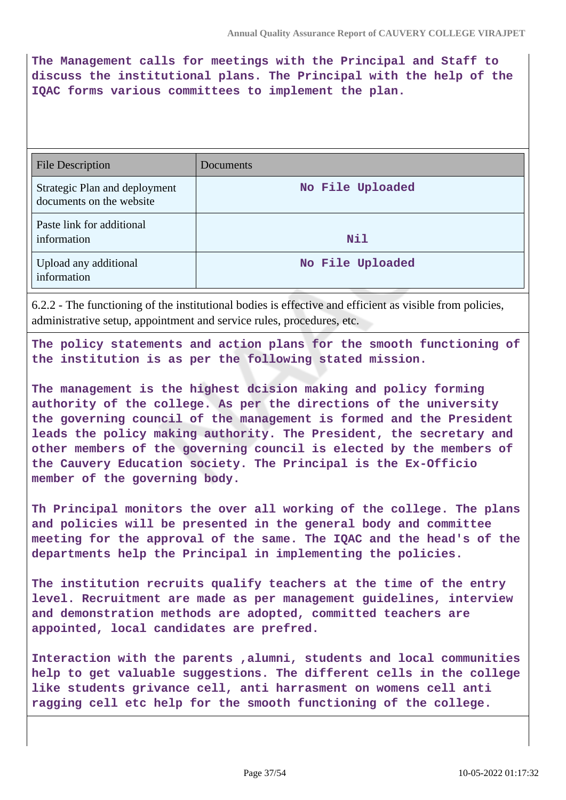**The Management calls for meetings with the Principal and Staff to discuss the institutional plans. The Principal with the help of the IQAC forms various committees to implement the plan.**

| File Description                                          | Documents        |
|-----------------------------------------------------------|------------------|
| Strategic Plan and deployment<br>documents on the website | No File Uploaded |
| Paste link for additional<br>information                  | Nil              |
| Upload any additional<br>information                      | No File Uploaded |

6.2.2 - The functioning of the institutional bodies is effective and efficient as visible from policies, administrative setup, appointment and service rules, procedures, etc.

**The policy statements and action plans for the smooth functioning of the institution is as per the following stated mission.**

**The management is the highest dcision making and policy forming authority of the college. As per the directions of the university the governing council of the management is formed and the President leads the policy making authority. The President, the secretary and other members of the governing council is elected by the members of the Cauvery Education society. The Principal is the Ex-Officio member of the governing body.**

**Th Principal monitors the over all working of the college. The plans and policies will be presented in the general body and committee meeting for the approval of the same. The IQAC and the head's of the departments help the Principal in implementing the policies.**

**The institution recruits qualify teachers at the time of the entry level. Recruitment are made as per management guidelines, interview and demonstration methods are adopted, committed teachers are appointed, local candidates are prefred.**

**Interaction with the parents ,alumni, students and local communities help to get valuable suggestions. The different cells in the college like students grivance cell, anti harrasment on womens cell anti ragging cell etc help for the smooth functioning of the college.**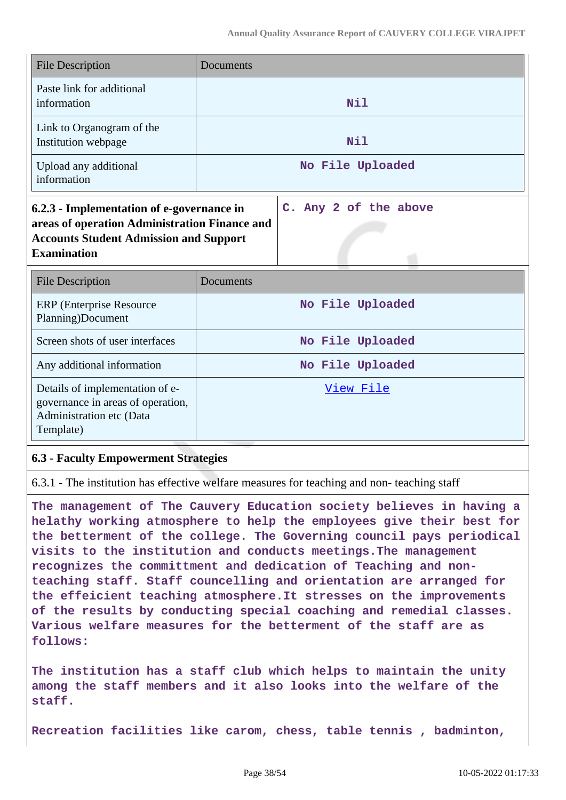| <b>File Description</b>                                                                                                                                           | <b>Documents</b>      |
|-------------------------------------------------------------------------------------------------------------------------------------------------------------------|-----------------------|
| Paste link for additional<br>information                                                                                                                          | <b>Nil</b>            |
| Link to Organogram of the<br>Institution webpage                                                                                                                  | Nil                   |
| Upload any additional<br>information                                                                                                                              | No File Uploaded      |
| 6.2.3 - Implementation of e-governance in<br>areas of operation Administration Finance and<br><b>Accounts Student Admission and Support</b><br><b>Examination</b> | C. Any 2 of the above |
| <b>File Description</b>                                                                                                                                           | Documents             |
| <b>ERP</b> (Enterprise Resource<br>Planning)Document                                                                                                              | No File Uploaded      |
| Screen shots of user interfaces                                                                                                                                   | No File Uploaded      |
| Any additional information                                                                                                                                        | No File Uploaded      |
| Details of implementation of e-<br>governance in areas of operation,<br>Administration etc (Data<br>Template)                                                     | View File             |

## **6.3 - Faculty Empowerment Strategies**

6.3.1 - The institution has effective welfare measures for teaching and non- teaching staff

**The management of The Cauvery Education society believes in having a helathy working atmosphere to help the employees give their best for the betterment of the college. The Governing council pays periodical visits to the institution and conducts meetings.The management recognizes the committment and dedication of Teaching and nonteaching staff. Staff councelling and orientation are arranged for the effeicient teaching atmosphere.It stresses on the improvements of the results by conducting special coaching and remedial classes. Various welfare measures for the betterment of the staff are as follows:**

**The institution has a staff club which helps to maintain the unity among the staff members and it also looks into the welfare of the staff.**

**Recreation facilities like carom, chess, table tennis , badminton,**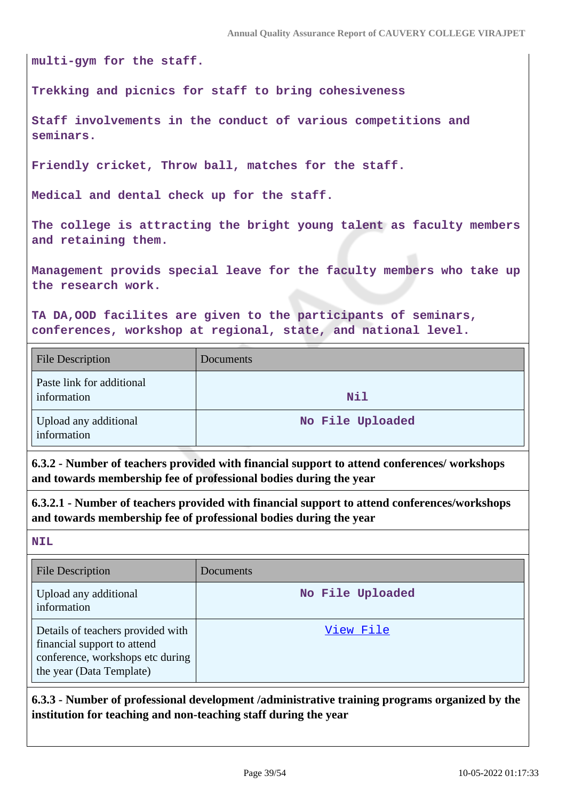**multi-gym for the staff.**

**Trekking and picnics for staff to bring cohesiveness**

**Staff involvements in the conduct of various competitions and seminars.**

**Friendly cricket, Throw ball, matches for the staff.**

**Medical and dental check up for the staff.**

**The college is attracting the bright young talent as faculty members and retaining them.**

**Management provids special leave for the faculty members who take up the research work.**

**TA DA,OOD facilites are given to the participants of seminars, conferences, workshop at regional, state, and national level.**

| <b>File Description</b>                  | Documents        |
|------------------------------------------|------------------|
| Paste link for additional<br>information | Nil              |
| Upload any additional<br>information     | No File Uploaded |

**6.3.2 - Number of teachers provided with financial support to attend conferences/ workshops and towards membership fee of professional bodies during the year**

**6.3.2.1 - Number of teachers provided with financial support to attend conferences/workshops and towards membership fee of professional bodies during the year**

**NIL**

| <b>File Description</b>                                                                                                          | <b>Documents</b> |
|----------------------------------------------------------------------------------------------------------------------------------|------------------|
| Upload any additional<br>information                                                                                             | No File Uploaded |
| Details of teachers provided with<br>financial support to attend<br>conference, workshops etc during<br>the year (Data Template) | View File        |

**6.3.3 - Number of professional development /administrative training programs organized by the institution for teaching and non-teaching staff during the year**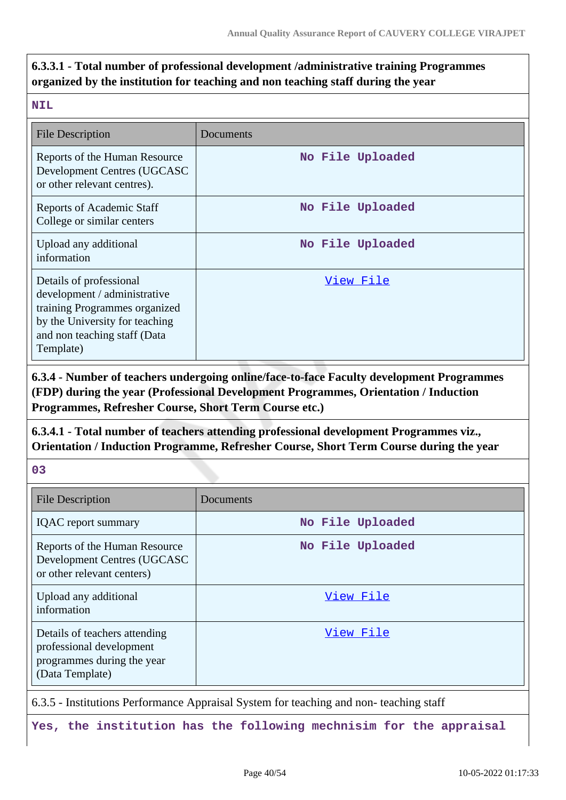# **6.3.3.1 - Total number of professional development /administrative training Programmes organized by the institution for teaching and non teaching staff during the year**

#### **NIL**

| <b>File Description</b>                                                                                                                                                 | Documents        |
|-------------------------------------------------------------------------------------------------------------------------------------------------------------------------|------------------|
| Reports of the Human Resource<br><b>Development Centres (UGCASC</b><br>or other relevant centres).                                                                      | No File Uploaded |
| Reports of Academic Staff<br>College or similar centers                                                                                                                 | No File Uploaded |
| Upload any additional<br>information                                                                                                                                    | No File Uploaded |
| Details of professional<br>development / administrative<br>training Programmes organized<br>by the University for teaching<br>and non teaching staff (Data<br>Template) | View File        |

**6.3.4 - Number of teachers undergoing online/face-to-face Faculty development Programmes (FDP) during the year (Professional Development Programmes, Orientation / Induction Programmes, Refresher Course, Short Term Course etc.)**

**6.3.4.1 - Total number of teachers attending professional development Programmes viz., Orientation / Induction Programme, Refresher Course, Short Term Course during the year**

**03**

| <b>File Description</b>                                                                                    | Documents        |
|------------------------------------------------------------------------------------------------------------|------------------|
| <b>IQAC</b> report summary                                                                                 | No File Uploaded |
| Reports of the Human Resource<br>Development Centres (UGCASC<br>or other relevant centers)                 | No File Uploaded |
| Upload any additional<br>information                                                                       | View File        |
| Details of teachers attending<br>professional development<br>programmes during the year<br>(Data Template) | View File        |

6.3.5 - Institutions Performance Appraisal System for teaching and non- teaching staff

**Yes, the institution has the following mechnisim for the appraisal**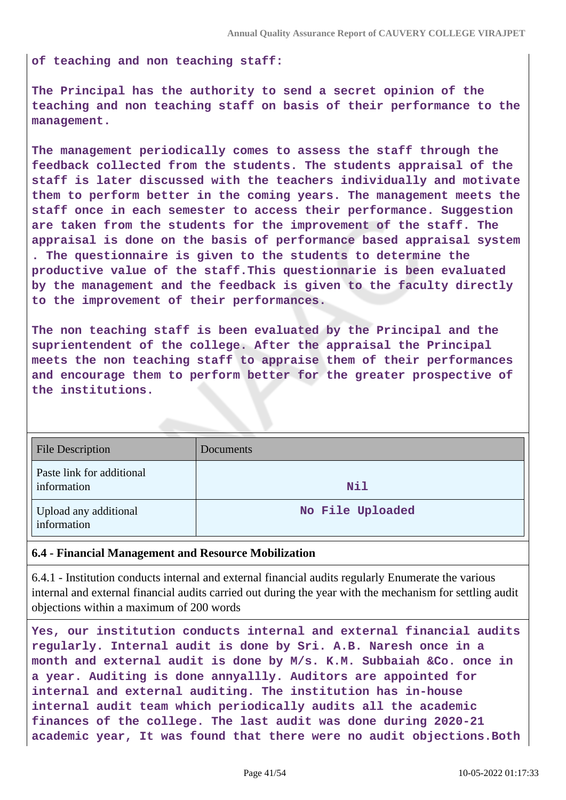**of teaching and non teaching staff:**

**The Principal has the authority to send a secret opinion of the teaching and non teaching staff on basis of their performance to the management.**

**The management periodically comes to assess the staff through the feedback collected from the students. The students appraisal of the staff is later discussed with the teachers individually and motivate them to perform better in the coming years. The management meets the staff once in each semester to access their performance. Suggestion are taken from the students for the improvement of the staff. The appraisal is done on the basis of performance based appraisal system . The questionnaire is given to the students to determine the productive value of the staff.This questionnarie is been evaluated by the management and the feedback is given to the faculty directly to the improvement of their performances.**

**The non teaching staff is been evaluated by the Principal and the suprientendent of the college. After the appraisal the Principal meets the non teaching staff to appraise them of their performances and encourage them to perform better for the greater prospective of the institutions.**

| <b>File Description</b>                  | Documents        |
|------------------------------------------|------------------|
| Paste link for additional<br>information | Nil              |
| Upload any additional<br>information     | No File Uploaded |

#### **6.4 - Financial Management and Resource Mobilization**

6.4.1 - Institution conducts internal and external financial audits regularly Enumerate the various internal and external financial audits carried out during the year with the mechanism for settling audit objections within a maximum of 200 words

**Yes, our institution conducts internal and external financial audits regularly. Internal audit is done by Sri. A.B. Naresh once in a month and external audit is done by M/s. K.M. Subbaiah &Co. once in a year. Auditing is done annyallly. Auditors are appointed for internal and external auditing. The institution has in-house internal audit team which periodically audits all the academic finances of the college. The last audit was done during 2020-21 academic year, It was found that there were no audit objections.Both**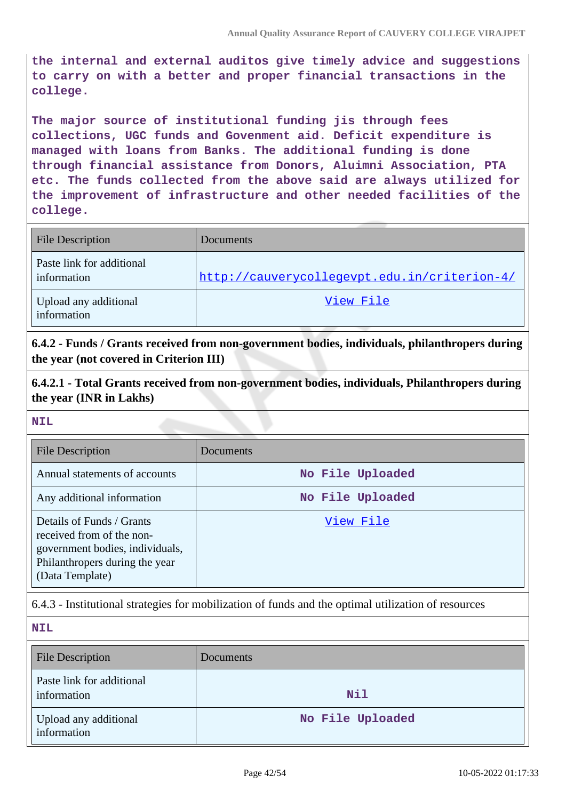**the internal and external auditos give timely advice and suggestions to carry on with a better and proper financial transactions in the college.**

**The major source of institutional funding jis through fees collections, UGC funds and Govenment aid. Deficit expenditure is managed with loans from Banks. The additional funding is done through financial assistance from Donors, Aluimni Association, PTA etc. The funds collected from the above said are always utilized for the improvement of infrastructure and other needed facilities of the college.**

| <b>File Description</b>                  | Documents                                    |
|------------------------------------------|----------------------------------------------|
| Paste link for additional<br>information | http://cauverycollegevpt.edu.in/criterion-4/ |
| Upload any additional<br>information     | View File                                    |

**6.4.2 - Funds / Grants received from non-government bodies, individuals, philanthropers during the year (not covered in Criterion III)**

**6.4.2.1 - Total Grants received from non-government bodies, individuals, Philanthropers during the year (INR in Lakhs)**

#### **NIL**

| File Description                                                                                                                               | Documents        |
|------------------------------------------------------------------------------------------------------------------------------------------------|------------------|
| Annual statements of accounts                                                                                                                  | No File Uploaded |
| Any additional information                                                                                                                     | No File Uploaded |
| Details of Funds / Grants<br>received from of the non-<br>government bodies, individuals,<br>Philanthropers during the year<br>(Data Template) | View File        |

6.4.3 - Institutional strategies for mobilization of funds and the optimal utilization of resources

| <b>NIL</b>                               |                  |
|------------------------------------------|------------------|
| <b>File Description</b>                  | Documents        |
| Paste link for additional<br>information | Nil              |
| Upload any additional<br>information     | No File Uploaded |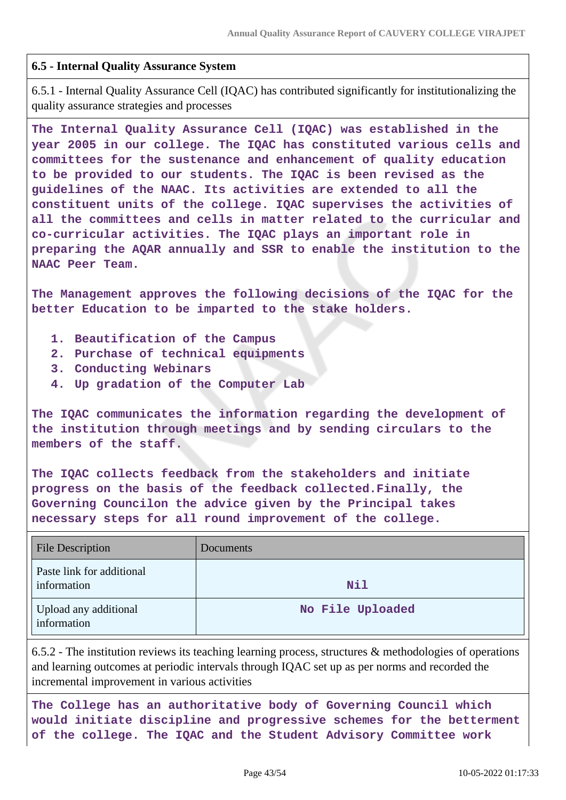## **6.5 - Internal Quality Assurance System**

6.5.1 - Internal Quality Assurance Cell (IQAC) has contributed significantly for institutionalizing the quality assurance strategies and processes

**The Internal Quality Assurance Cell (IQAC) was established in the year 2005 in our college. The IQAC has constituted various cells and committees for the sustenance and enhancement of quality education to be provided to our students. The IQAC is been revised as the guidelines of the NAAC. Its activities are extended to all the constituent units of the college. IQAC supervises the activities of all the committees and cells in matter related to the curricular and co-curricular activities. The IQAC plays an important role in preparing the AQAR annually and SSR to enable the institution to the NAAC Peer Team.**

**The Management approves the following decisions of the IQAC for the better Education to be imparted to the stake holders.**

- **1. Beautification of the Campus**
- **2. Purchase of technical equipments**
- **3. Conducting Webinars**
- **4. Up gradation of the Computer Lab**

**The IQAC communicates the information regarding the development of the institution through meetings and by sending circulars to the members of the staff.**

**The IQAC collects feedback from the stakeholders and initiate progress on the basis of the feedback collected.Finally, the Governing Councilon the advice given by the Principal takes necessary steps for all round improvement of the college.**

| File Description                         | Documents        |
|------------------------------------------|------------------|
| Paste link for additional<br>information | Nil              |
| Upload any additional<br>information     | No File Uploaded |

6.5.2 - The institution reviews its teaching learning process, structures & methodologies of operations and learning outcomes at periodic intervals through IQAC set up as per norms and recorded the incremental improvement in various activities

**The College has an authoritative body of Governing Council which would initiate discipline and progressive schemes for the betterment of the college. The IQAC and the Student Advisory Committee work**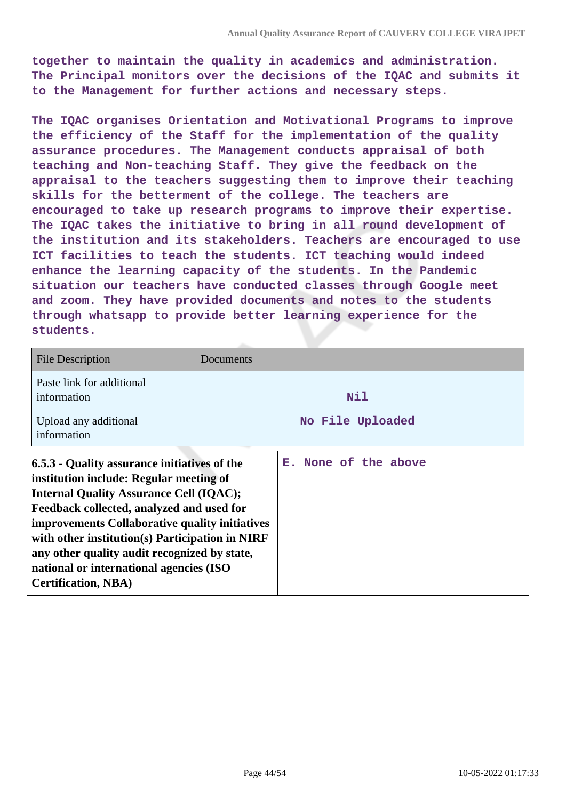**together to maintain the quality in academics and administration. The Principal monitors over the decisions of the IQAC and submits it to the Management for further actions and necessary steps.**

**The IQAC organises Orientation and Motivational Programs to improve the efficiency of the Staff for the implementation of the quality assurance procedures. The Management conducts appraisal of both teaching and Non-teaching Staff. They give the feedback on the appraisal to the teachers suggesting them to improve their teaching skills for the betterment of the college. The teachers are encouraged to take up research programs to improve their expertise. The IQAC takes the initiative to bring in all round development of the institution and its stakeholders. Teachers are encouraged to use ICT facilities to teach the students. ICT teaching would indeed enhance the learning capacity of the students. In the Pandemic situation our teachers have conducted classes through Google meet and zoom. They have provided documents and notes to the students through whatsapp to provide better learning experience for the students.**

| <b>File Description</b>                                                                                                                                                                                                                                                                                                                                                                                              | Documents |                      |
|----------------------------------------------------------------------------------------------------------------------------------------------------------------------------------------------------------------------------------------------------------------------------------------------------------------------------------------------------------------------------------------------------------------------|-----------|----------------------|
| Paste link for additional<br>information                                                                                                                                                                                                                                                                                                                                                                             |           | Nil                  |
| Upload any additional<br>information                                                                                                                                                                                                                                                                                                                                                                                 |           | No File Uploaded     |
| 6.5.3 - Quality assurance initiatives of the<br>institution include: Regular meeting of<br><b>Internal Quality Assurance Cell (IQAC);</b><br>Feedback collected, analyzed and used for<br>improvements Collaborative quality initiatives<br>with other institution(s) Participation in NIRF<br>any other quality audit recognized by state,<br>national or international agencies (ISO<br><b>Certification, NBA)</b> |           | E. None of the above |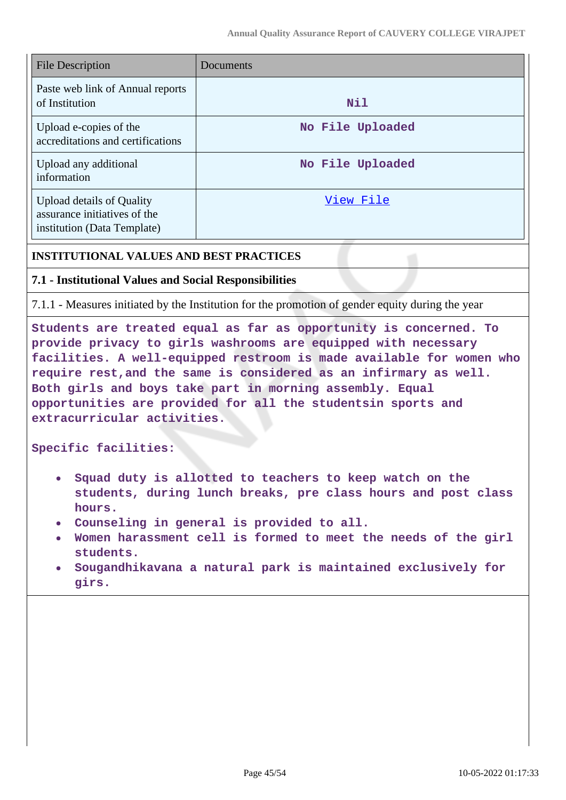| <b>File Description</b>                                                                         | Documents        |
|-------------------------------------------------------------------------------------------------|------------------|
| Paste web link of Annual reports<br>of Institution                                              | Nil              |
| Upload e-copies of the<br>accreditations and certifications                                     | No File Uploaded |
| Upload any additional<br>information                                                            | No File Uploaded |
| <b>Upload details of Quality</b><br>assurance initiatives of the<br>institution (Data Template) | View File        |

## **INSTITUTIONAL VALUES AND BEST PRACTICES**

## **7.1 - Institutional Values and Social Responsibilities**

7.1.1 - Measures initiated by the Institution for the promotion of gender equity during the year

**Students are treated equal as far as opportunity is concerned. To provide privacy to girls washrooms are equipped with necessary facilities. A well-equipped restroom is made available for women who require rest,and the same is considered as an infirmary as well. Both girls and boys take part in morning assembly. Equal opportunities are provided for all the studentsin sports and extracurricular activities.**

**Specific facilities:**

- **Squad duty is allotted to teachers to keep watch on the students, during lunch breaks, pre class hours and post class hours.**
- **Counseling in general is provided to all.**
- **Women harassment cell is formed to meet the needs of the girl students.**
- **Sougandhikavana a natural park is maintained exclusively for girs.**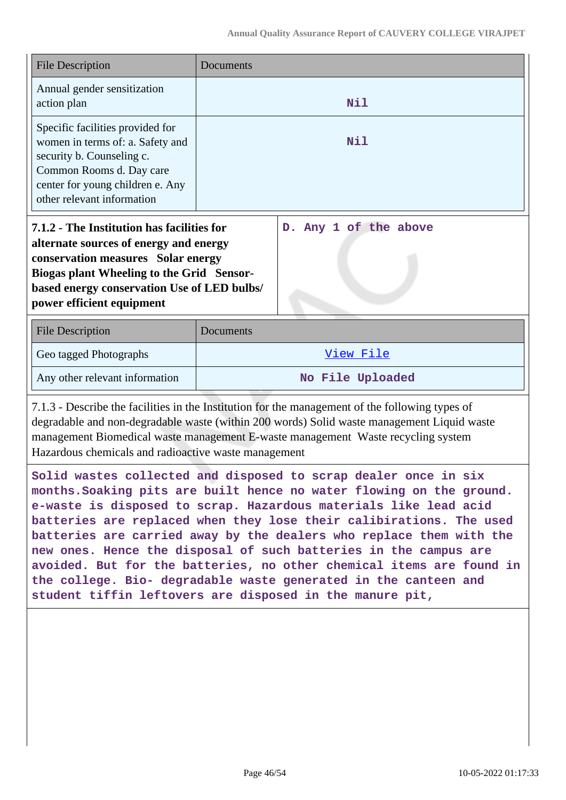| <b>File Description</b>                                                                                                                                                                                                                                                                                                                                                                                                                                                                                                                                                                                                              | Documents             |  |
|--------------------------------------------------------------------------------------------------------------------------------------------------------------------------------------------------------------------------------------------------------------------------------------------------------------------------------------------------------------------------------------------------------------------------------------------------------------------------------------------------------------------------------------------------------------------------------------------------------------------------------------|-----------------------|--|
| Annual gender sensitization<br>action plan                                                                                                                                                                                                                                                                                                                                                                                                                                                                                                                                                                                           | Nil                   |  |
| Specific facilities provided for<br>women in terms of: a. Safety and<br>security b. Counseling c.<br>Common Rooms d. Day care<br>center for young children e. Any<br>other relevant information                                                                                                                                                                                                                                                                                                                                                                                                                                      | Nil                   |  |
| 7.1.2 - The Institution has facilities for<br>alternate sources of energy and energy<br>conservation measures Solar energy<br><b>Biogas plant Wheeling to the Grid Sensor-</b><br>based energy conservation Use of LED bulbs/<br>power efficient equipment                                                                                                                                                                                                                                                                                                                                                                           | D. Any 1 of the above |  |
| <b>File Description</b>                                                                                                                                                                                                                                                                                                                                                                                                                                                                                                                                                                                                              | Documents             |  |
| Geo tagged Photographs                                                                                                                                                                                                                                                                                                                                                                                                                                                                                                                                                                                                               | View File             |  |
| Any other relevant information                                                                                                                                                                                                                                                                                                                                                                                                                                                                                                                                                                                                       | No File Uploaded      |  |
| 7.1.3 - Describe the facilities in the Institution for the management of the following types of<br>degradable and non-degradable waste (within 200 words) Solid waste management Liquid waste<br>management Biomedical waste management E-waste management Waste recycling system<br>Hazardous chemicals and radioactive waste management                                                                                                                                                                                                                                                                                            |                       |  |
| Solid wastes collected and disposed to scrap dealer once in six<br>months. Soaking pits are built hence no water flowing on the ground.<br>e-waste is disposed to scrap. Hazardous materials like lead acid<br>batteries are replaced when they lose their calibirations. The used<br>batteries are carried away by the dealers who replace them with the<br>new ones. Hence the disposal of such batteries in the campus are<br>avoided. But for the batteries, no other chemical items are found in<br>the college. Bio- degradable waste generated in the canteen and<br>student tiffin leftovers are disposed in the manure pit, |                       |  |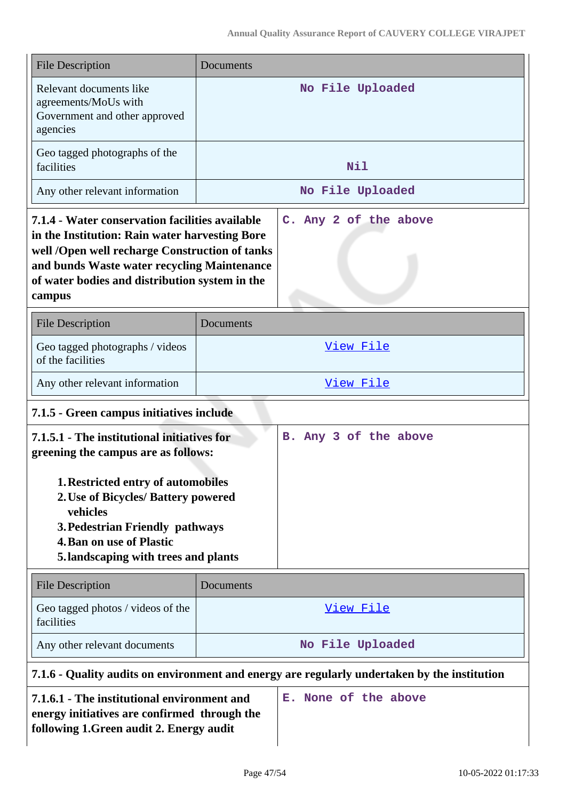| <b>File Description</b>                                                                                                                                                                                                                                                                                                   | Documents                                                                                    |  |
|---------------------------------------------------------------------------------------------------------------------------------------------------------------------------------------------------------------------------------------------------------------------------------------------------------------------------|----------------------------------------------------------------------------------------------|--|
| Relevant documents like<br>agreements/MoUs with<br>Government and other approved<br>agencies                                                                                                                                                                                                                              | No File Uploaded                                                                             |  |
| Geo tagged photographs of the<br>facilities                                                                                                                                                                                                                                                                               | Nil                                                                                          |  |
| Any other relevant information                                                                                                                                                                                                                                                                                            | No File Uploaded                                                                             |  |
| 7.1.4 - Water conservation facilities available<br>in the Institution: Rain water harvesting Bore<br>well /Open well recharge Construction of tanks<br>and bunds Waste water recycling Maintenance<br>of water bodies and distribution system in the<br>campus                                                            | C. Any 2 of the above                                                                        |  |
| <b>File Description</b>                                                                                                                                                                                                                                                                                                   | Documents                                                                                    |  |
| Geo tagged photographs / videos<br>of the facilities                                                                                                                                                                                                                                                                      | View File                                                                                    |  |
| Any other relevant information                                                                                                                                                                                                                                                                                            | View File                                                                                    |  |
| 7.1.5 - Green campus initiatives include                                                                                                                                                                                                                                                                                  |                                                                                              |  |
| 7.1.5.1 - The institutional initiatives for<br>B. Any 3 of the above<br>greening the campus are as follows:<br><b>1. Restricted entry of automobiles</b><br>2. Use of Bicycles/ Battery powered<br>vehicles<br>3. Pedestrian Friendly pathways<br><b>4. Ban on use of Plastic</b><br>5. landscaping with trees and plants |                                                                                              |  |
| <b>File Description</b>                                                                                                                                                                                                                                                                                                   | Documents                                                                                    |  |
| Geo tagged photos / videos of the<br>facilities                                                                                                                                                                                                                                                                           | <u>View File</u>                                                                             |  |
| Any other relevant documents                                                                                                                                                                                                                                                                                              | No File Uploaded                                                                             |  |
|                                                                                                                                                                                                                                                                                                                           | 7.1.6 - Quality audits on environment and energy are regularly undertaken by the institution |  |
| 7.1.6.1 - The institutional environment and<br>energy initiatives are confirmed through the                                                                                                                                                                                                                               | E. None of the above                                                                         |  |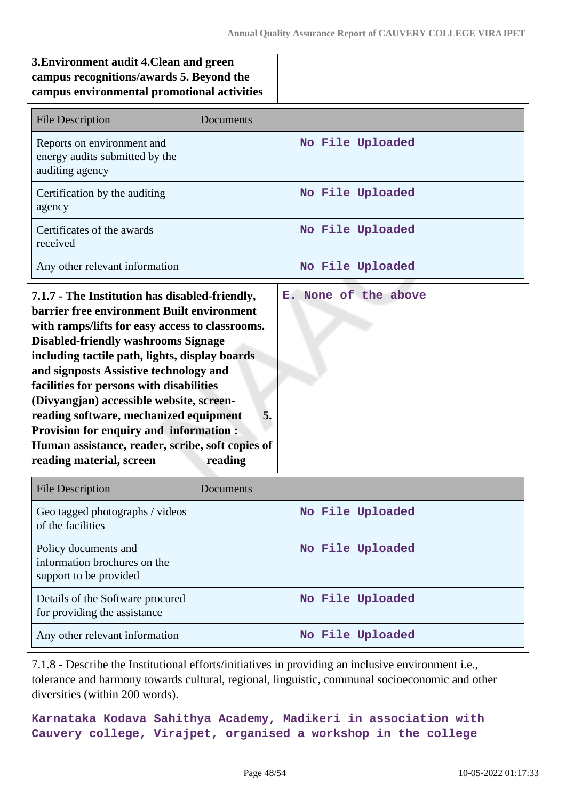# **3.Environment audit 4.Clean and green campus recognitions/awards 5. Beyond the campus environmental promotional activities**

| <b>File Description</b>                                                                                                                                                                                                                                                                                                                                                                                                                                                                                                                                      | Documents                             |
|--------------------------------------------------------------------------------------------------------------------------------------------------------------------------------------------------------------------------------------------------------------------------------------------------------------------------------------------------------------------------------------------------------------------------------------------------------------------------------------------------------------------------------------------------------------|---------------------------------------|
| Reports on environment and<br>energy audits submitted by the<br>auditing agency                                                                                                                                                                                                                                                                                                                                                                                                                                                                              | No File Uploaded                      |
| Certification by the auditing<br>agency                                                                                                                                                                                                                                                                                                                                                                                                                                                                                                                      | No File Uploaded                      |
| Certificates of the awards<br>received                                                                                                                                                                                                                                                                                                                                                                                                                                                                                                                       | No File Uploaded                      |
| Any other relevant information                                                                                                                                                                                                                                                                                                                                                                                                                                                                                                                               | No File Uploaded                      |
| 7.1.7 - The Institution has disabled-friendly,<br>barrier free environment Built environment<br>with ramps/lifts for easy access to classrooms.<br><b>Disabled-friendly washrooms Signage</b><br>including tactile path, lights, display boards<br>and signposts Assistive technology and<br>facilities for persons with disabilities<br>(Divyangjan) accessible website, screen-<br>reading software, mechanized equipment<br><b>Provision for enquiry and information:</b><br>Human assistance, reader, scribe, soft copies of<br>reading material, screen | E. None of the above<br>5.<br>reading |

| <b>File Description</b>                                                        | Documents        |
|--------------------------------------------------------------------------------|------------------|
| Geo tagged photographs / videos<br>of the facilities                           | No File Uploaded |
| Policy documents and<br>information brochures on the<br>support to be provided | No File Uploaded |
| Details of the Software procured<br>for providing the assistance               | No File Uploaded |
| Any other relevant information                                                 | No File Uploaded |

7.1.8 - Describe the Institutional efforts/initiatives in providing an inclusive environment i.e., tolerance and harmony towards cultural, regional, linguistic, communal socioeconomic and other diversities (within 200 words).

**Karnataka Kodava Sahithya Academy, Madikeri in association with Cauvery college, Virajpet, organised a workshop in the college**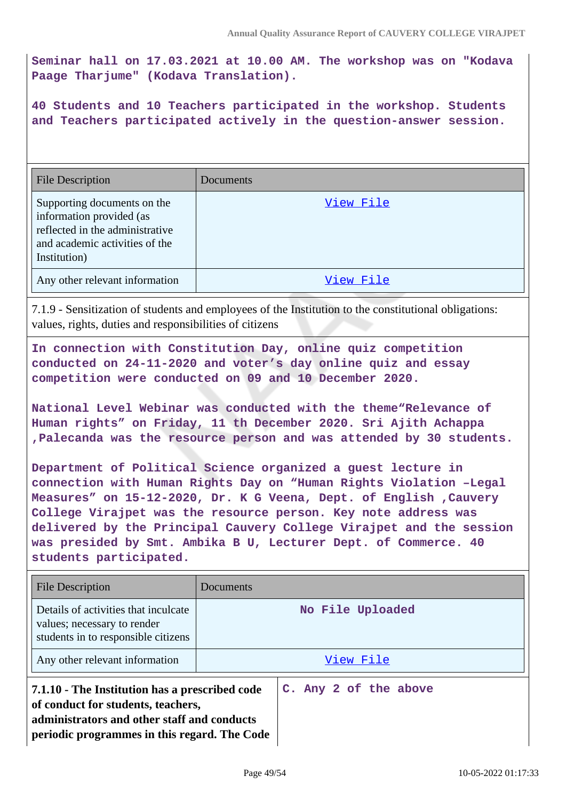**Seminar hall on 17.03.2021 at 10.00 AM. The workshop was on "Kodava Paage Tharjume" (Kodava Translation).**

**40 Students and 10 Teachers participated in the workshop. Students and Teachers participated actively in the question-answer session.**

| <b>File Description</b>                                                                                                                      | <b>Documents</b> |
|----------------------------------------------------------------------------------------------------------------------------------------------|------------------|
| Supporting documents on the<br>information provided (as<br>reflected in the administrative<br>and academic activities of the<br>Institution) | View File        |
| Any other relevant information                                                                                                               | View File        |

7.1.9 - Sensitization of students and employees of the Institution to the constitutional obligations: values, rights, duties and responsibilities of citizens

**In connection with Constitution Day, online quiz competition conducted on 24-11-2020 and voter's day online quiz and essay competition were conducted on 09 and 10 December 2020.**

**National Level Webinar was conducted with the theme"Relevance of Human rights" on Friday, 11 th December 2020. Sri Ajith Achappa ,Palecanda was the resource person and was attended by 30 students.**

**Department of Political Science organized a guest lecture in connection with Human Rights Day on "Human Rights Violation –Legal Measures" on 15-12-2020, Dr. K G Veena, Dept. of English ,Cauvery College Virajpet was the resource person. Key note address was delivered by the Principal Cauvery College Virajpet and the session was presided by Smt. Ambika B U, Lecturer Dept. of Commerce. 40 students participated.**

| File Description                                                                                                                                                                    | Documents             |  |
|-------------------------------------------------------------------------------------------------------------------------------------------------------------------------------------|-----------------------|--|
| Details of activities that inculcate<br>values; necessary to render<br>students in to responsible citizens                                                                          | No File Uploaded      |  |
| Any other relevant information                                                                                                                                                      | View File             |  |
| 7.1.10 - The Institution has a prescribed code<br>of conduct for students, teachers,<br>administrators and other staff and conducts<br>periodic programmes in this regard. The Code | C. Any 2 of the above |  |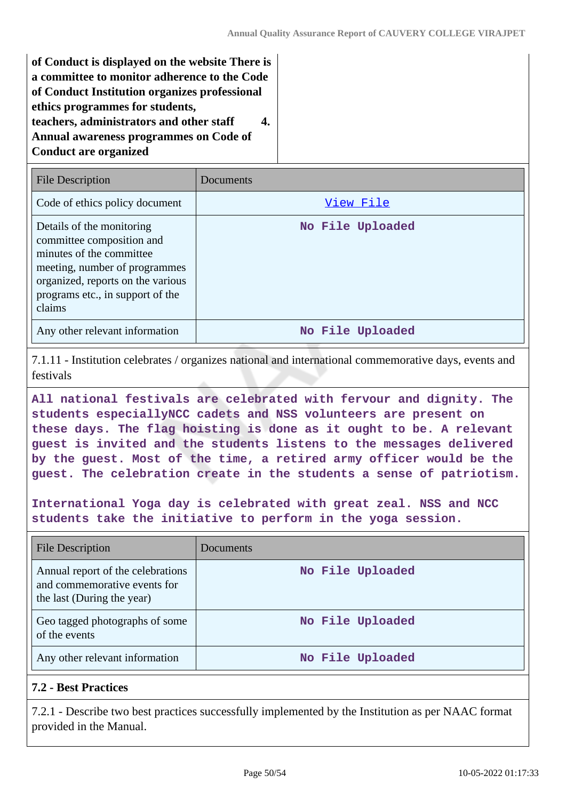**of Conduct is displayed on the website There is a committee to monitor adherence to the Code of Conduct Institution organizes professional ethics programmes for students, teachers, administrators and other staff 4. Annual awareness programmes on Code of Conduct are organized**

| File Description                                                                                                                                                                                       | Documents        |
|--------------------------------------------------------------------------------------------------------------------------------------------------------------------------------------------------------|------------------|
| Code of ethics policy document                                                                                                                                                                         | View File        |
| Details of the monitoring<br>committee composition and<br>minutes of the committee<br>meeting, number of programmes<br>organized, reports on the various<br>programs etc., in support of the<br>claims | No File Uploaded |
| Any other relevant information                                                                                                                                                                         | No File Uploaded |

7.1.11 - Institution celebrates / organizes national and international commemorative days, events and festivals

**All national festivals are celebrated with fervour and dignity. The students especiallyNCC cadets and NSS volunteers are present on these days. The flag hoisting is done as it ought to be. A relevant guest is invited and the students listens to the messages delivered by the guest. Most of the time, a retired army officer would be the guest. The celebration create in the students a sense of patriotism.**

**International Yoga day is celebrated with great zeal. NSS and NCC students take the initiative to perform in the yoga session.**

| <b>File Description</b>                                                                         | Documents        |
|-------------------------------------------------------------------------------------------------|------------------|
| Annual report of the celebrations<br>and commemorative events for<br>the last (During the year) | No File Uploaded |
| Geo tagged photographs of some<br>of the events                                                 | No File Uploaded |
| Any other relevant information                                                                  | No File Uploaded |

# **7.2 - Best Practices**

7.2.1 - Describe two best practices successfully implemented by the Institution as per NAAC format provided in the Manual.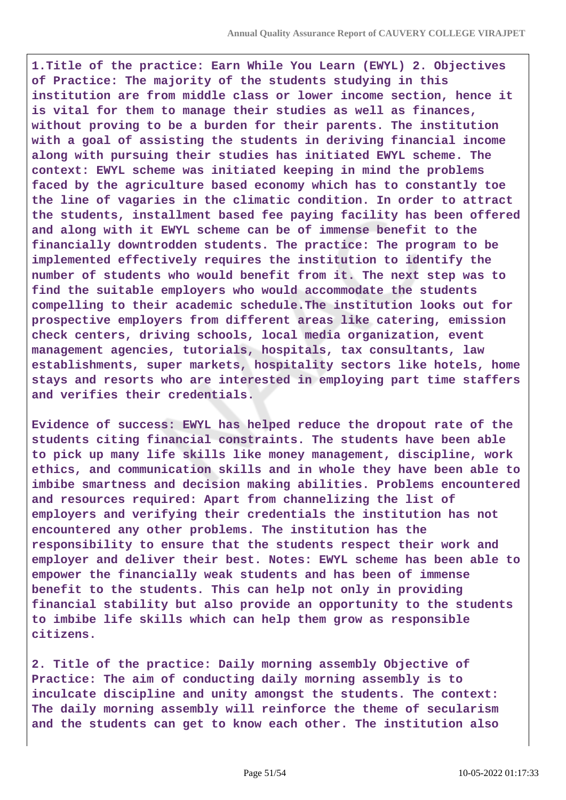**1.Title of the practice: Earn While You Learn (EWYL) 2. Objectives of Practice: The majority of the students studying in this institution are from middle class or lower income section, hence it is vital for them to manage their studies as well as finances, without proving to be a burden for their parents. The institution with a goal of assisting the students in deriving financial income along with pursuing their studies has initiated EWYL scheme. The context: EWYL scheme was initiated keeping in mind the problems faced by the agriculture based economy which has to constantly toe the line of vagaries in the climatic condition. In order to attract the students, installment based fee paying facility has been offered and along with it EWYL scheme can be of immense benefit to the financially downtrodden students. The practice: The program to be implemented effectively requires the institution to identify the number of students who would benefit from it. The next step was to find the suitable employers who would accommodate the students compelling to their academic schedule.The institution looks out for prospective employers from different areas like catering, emission check centers, driving schools, local media organization, event management agencies, tutorials, hospitals, tax consultants, law establishments, super markets, hospitality sectors like hotels, home stays and resorts who are interested in employing part time staffers and verifies their credentials.**

**Evidence of success: EWYL has helped reduce the dropout rate of the students citing financial constraints. The students have been able to pick up many life skills like money management, discipline, work ethics, and communication skills and in whole they have been able to imbibe smartness and decision making abilities. Problems encountered and resources required: Apart from channelizing the list of employers and verifying their credentials the institution has not encountered any other problems. The institution has the responsibility to ensure that the students respect their work and employer and deliver their best. Notes: EWYL scheme has been able to empower the financially weak students and has been of immense benefit to the students. This can help not only in providing financial stability but also provide an opportunity to the students to imbibe life skills which can help them grow as responsible citizens.**

**2. Title of the practice: Daily morning assembly Objective of Practice: The aim of conducting daily morning assembly is to inculcate discipline and unity amongst the students. The context: The daily morning assembly will reinforce the theme of secularism and the students can get to know each other. The institution also**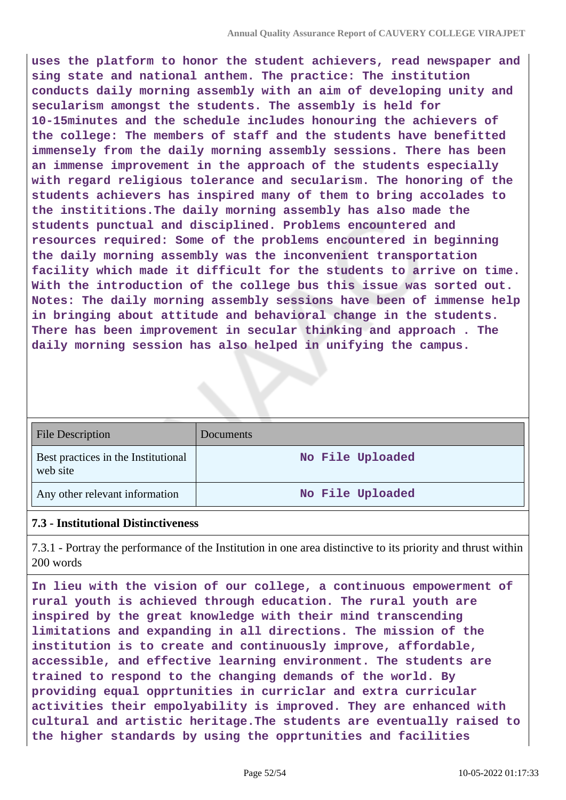**uses the platform to honor the student achievers, read newspaper and sing state and national anthem. The practice: The institution conducts daily morning assembly with an aim of developing unity and secularism amongst the students. The assembly is held for 10-15minutes and the schedule includes honouring the achievers of the college: The members of staff and the students have benefitted immensely from the daily morning assembly sessions. There has been an immense improvement in the approach of the students especially with regard religious tolerance and secularism. The honoring of the students achievers has inspired many of them to bring accolades to the instititions.The daily morning assembly has also made the students punctual and disciplined. Problems encountered and resources required: Some of the problems encountered in beginning the daily morning assembly was the inconvenient transportation facility which made it difficult for the students to arrive on time. With the introduction of the college bus this issue was sorted out. Notes: The daily morning assembly sessions have been of immense help in bringing about attitude and behavioral change in the students. There has been improvement in secular thinking and approach . The daily morning session has also helped in unifying the campus.**

| <b>File Description</b>                         | Documents        |
|-------------------------------------------------|------------------|
| Best practices in the Institutional<br>web site | No File Uploaded |
| Any other relevant information                  | No File Uploaded |

#### **7.3 - Institutional Distinctiveness**

7.3.1 - Portray the performance of the Institution in one area distinctive to its priority and thrust within 200 words

**In lieu with the vision of our college, a continuous empowerment of rural youth is achieved through education. The rural youth are inspired by the great knowledge with their mind transcending limitations and expanding in all directions. The mission of the institution is to create and continuously improve, affordable, accessible, and effective learning environment. The students are trained to respond to the changing demands of the world. By providing equal opprtunities in curriclar and extra curricular activities their empolyability is improved. They are enhanced with cultural and artistic heritage.The students are eventually raised to the higher standards by using the opprtunities and facilities**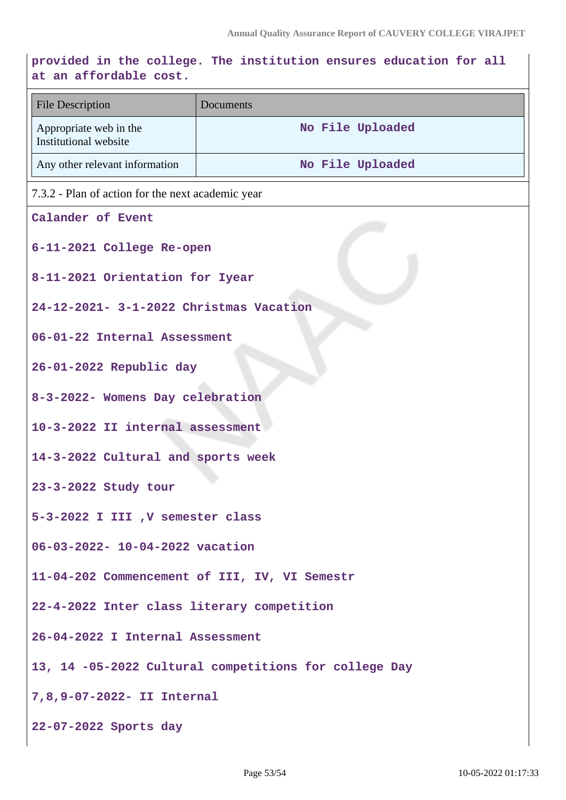# **provided in the college. The institution ensures education for all at an affordable cost.**

| at all allordable cost.                               |                  |
|-------------------------------------------------------|------------------|
| <b>File Description</b>                               | Documents        |
| Appropriate web in the<br>Institutional website       | No File Uploaded |
| Any other relevant information                        | No File Uploaded |
| 7.3.2 - Plan of action for the next academic year     |                  |
| Calander of Event                                     |                  |
| 6-11-2021 College Re-open                             |                  |
| 8-11-2021 Orientation for Iyear                       |                  |
| 24-12-2021- 3-1-2022 Christmas Vacation               |                  |
| 06-01-22 Internal Assessment                          |                  |
| 26-01-2022 Republic day                               |                  |
| 8-3-2022- Womens Day celebration                      |                  |
| 10-3-2022 II internal assessment                      |                  |
| 14-3-2022 Cultural and sports week                    |                  |
| 23-3-2022 Study tour                                  |                  |
| 5-3-2022 I III , V semester class                     |                  |
| 06-03-2022- 10-04-2022 vacation                       |                  |
| 11-04-202 Commencement of III, IV, VI Semestr         |                  |
| 22-4-2022 Inter class literary competition            |                  |
| 26-04-2022 I Internal Assessment                      |                  |
| 13, 14 -05-2022 Cultural competitions for college Day |                  |
| 7,8,9-07-2022- II Internal                            |                  |
| 22-07-2022 Sports day                                 |                  |